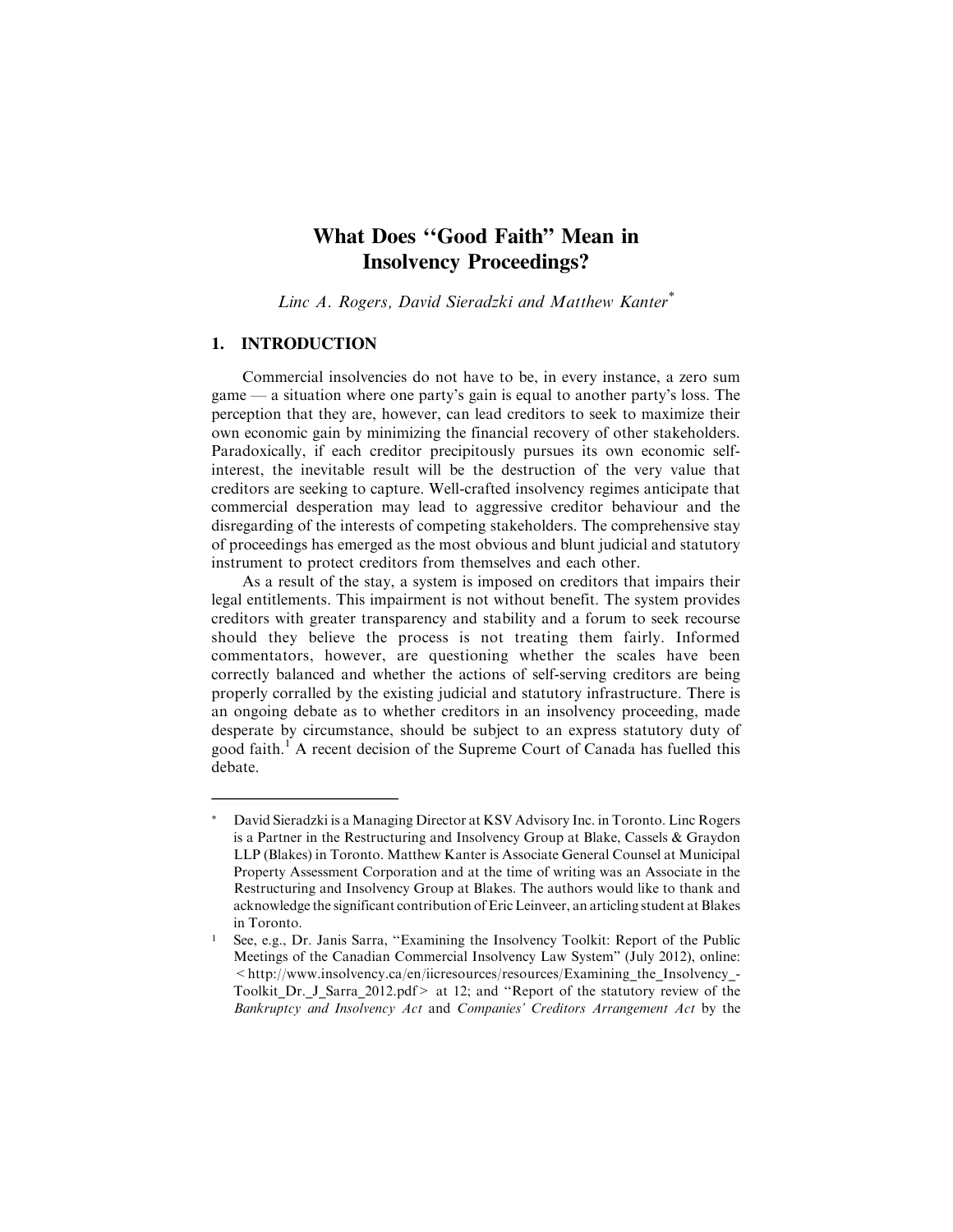# **What Does ''Good Faith" Mean in Insolvency Proceedings?**

Linc A. Rogers, David Sieradzki and Matthew Kanter\*

# **1. INTRODUCTION**

Commercial insolvencies do not have to be, in every instance, a zero sum game — a situation where one party's gain is equal to another party's loss. The perception that they are, however, can lead creditors to seek to maximize their own economic gain by minimizing the financial recovery of other stakeholders. Paradoxically, if each creditor precipitously pursues its own economic selfinterest, the inevitable result will be the destruction of the very value that creditors are seeking to capture. Well-crafted insolvency regimes anticipate that commercial desperation may lead to aggressive creditor behaviour and the disregarding of the interests of competing stakeholders. The comprehensive stay of proceedings has emerged as the most obvious and blunt judicial and statutory instrument to protect creditors from themselves and each other.

As a result of the stay, a system is imposed on creditors that impairs their legal entitlements. This impairment is not without benefit. The system provides creditors with greater transparency and stability and a forum to seek recourse should they believe the process is not treating them fairly. Informed commentators, however, are questioning whether the scales have been correctly balanced and whether the actions of self-serving creditors are being properly corralled by the existing judicial and statutory infrastructure. There is an ongoing debate as to whether creditors in an insolvency proceeding, made desperate by circumstance, should be subject to an express statutory duty of good faith.<sup>1</sup> A recent decision of the Supreme Court of Canada has fuelled this debate.

David Sieradzki is a Managing Director at KSV Advisory Inc. in Toronto. Linc Rogers is a Partner in the Restructuring and Insolvency Group at Blake, Cassels & Graydon LLP (Blakes) in Toronto. Matthew Kanter is Associate General Counsel at Municipal Property Assessment Corporation and at the time of writing was an Associate in the Restructuring and Insolvency Group at Blakes. The authors would like to thank and acknowledge the significant contribution of Eric Leinveer, an articling student at Blakes in Toronto.

<sup>1</sup> See, e.g., Dr. Janis Sarra, ''Examining the Insolvency Toolkit: Report of the Public Meetings of the Canadian Commercial Insolvency Law System" (July 2012), online:  $\langle$ http://www.insolvency.ca/en/iicresources/resources/Examining the Insolvency-Toolkit\_Dr.\_J\_Sarra\_2012.pdf> at 12; and ''Report of the statutory review of the Bankruptcy and Insolvency Act and Companies' Creditors Arrangement Act by the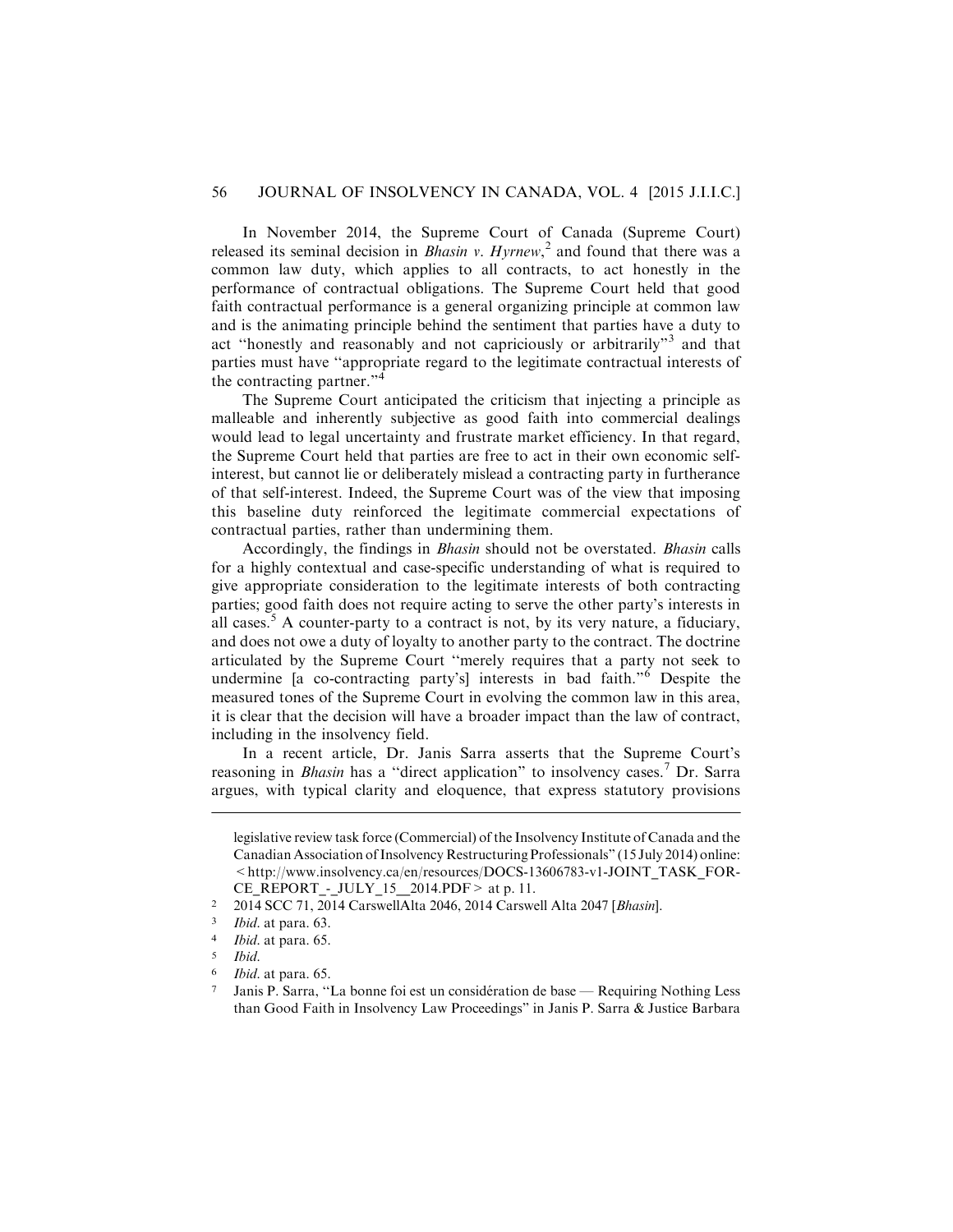In November 2014, the Supreme Court of Canada (Supreme Court) released its seminal decision in *Bhasin v. Hyrnew*,<sup>2</sup> and found that there was a common law duty, which applies to all contracts, to act honestly in the performance of contractual obligations. The Supreme Court held that good faith contractual performance is a general organizing principle at common law and is the animating principle behind the sentiment that parties have a duty to act ''honestly and reasonably and not capriciously or arbitrarily"<sup>3</sup> and that parties must have ''appropriate regard to the legitimate contractual interests of the contracting partner."<sup>4</sup>

The Supreme Court anticipated the criticism that injecting a principle as malleable and inherently subjective as good faith into commercial dealings would lead to legal uncertainty and frustrate market efficiency. In that regard, the Supreme Court held that parties are free to act in their own economic selfinterest, but cannot lie or deliberately mislead a contracting party in furtherance of that self-interest. Indeed, the Supreme Court was of the view that imposing this baseline duty reinforced the legitimate commercial expectations of contractual parties, rather than undermining them.

Accordingly, the findings in Bhasin should not be overstated. Bhasin calls for a highly contextual and case-specific understanding of what is required to give appropriate consideration to the legitimate interests of both contracting parties; good faith does not require acting to serve the other party's interests in all cases.<sup>5</sup> A counter-party to a contract is not, by its very nature, a fiduciary, and does not owe a duty of loyalty to another party to the contract. The doctrine articulated by the Supreme Court ''merely requires that a party not seek to undermine [a co-contracting party's] interests in bad faith."<sup>6</sup> Despite the measured tones of the Supreme Court in evolving the common law in this area, it is clear that the decision will have a broader impact than the law of contract, including in the insolvency field.

In a recent article, Dr. Janis Sarra asserts that the Supreme Court's reasoning in *Bhasin* has a "direct application" to insolvency cases.<sup>7</sup> Dr. Sarra argues, with typical clarity and eloquence, that express statutory provisions

legislative review task force (Commercial) of the Insolvency Institute of Canada and the Canadian Association of Insolvency Restructuring Professionals" (15 July 2014) online: <http://www.insolvency.ca/en/resources/DOCS-13606783-v1-JOINT\_TASK\_FOR-CE\_REPORT\_-\_JULY\_15\_\_2014.PDF> at p. 11.

<sup>2</sup> 2014 SCC 71, 2014 CarswellAlta 2046, 2014 Carswell Alta 2047 [Bhasin].

<sup>3</sup> Ibid. at para. 63.

<sup>4</sup> Ibid. at para. 65.

<sup>5</sup> Ibid.

Ibid. at para. 65.

Janis P. Sarra, "La bonne foi est un considération de base — Requiring Nothing Less than Good Faith in Insolvency Law Proceedings" in Janis P. Sarra & Justice Barbara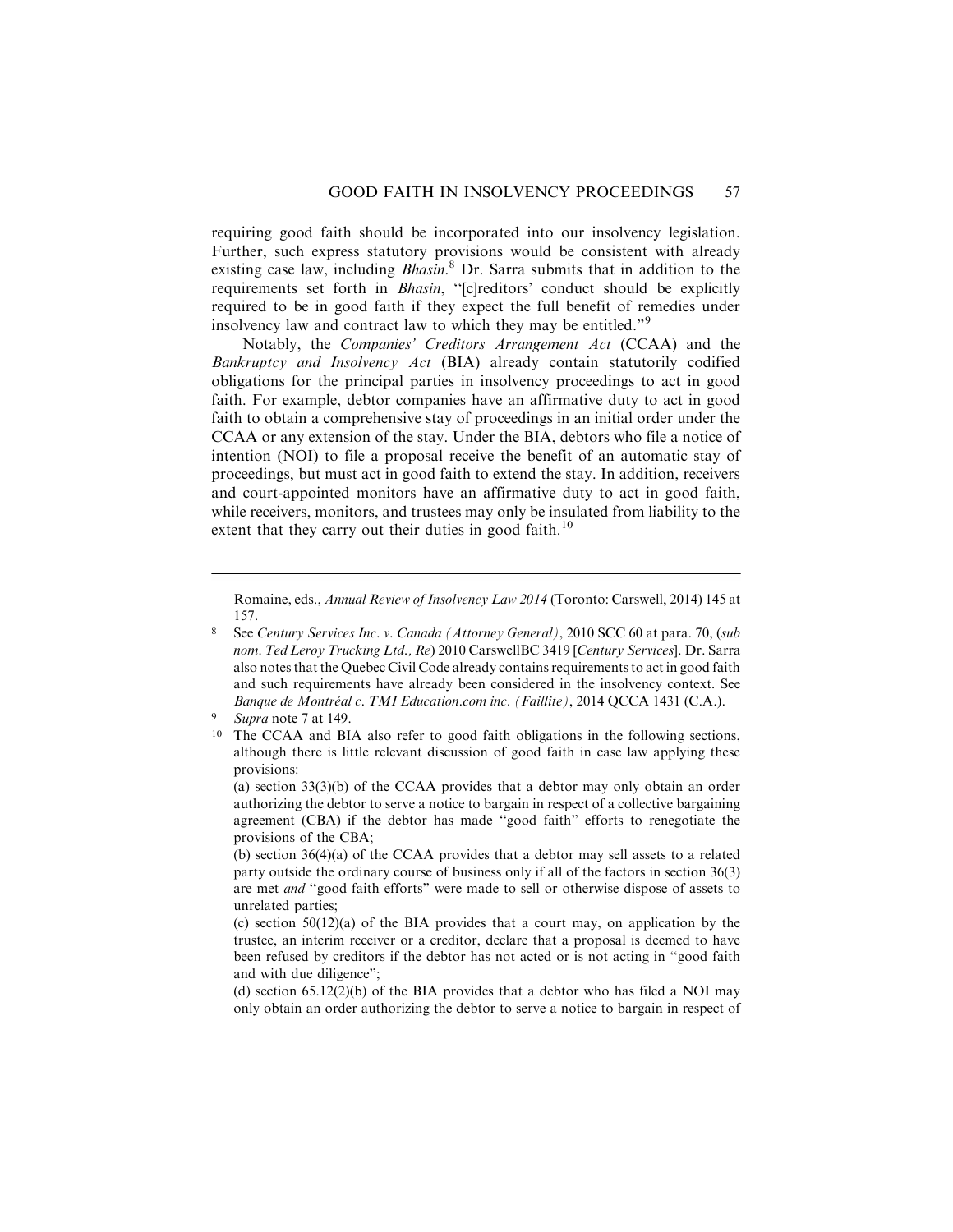requiring good faith should be incorporated into our insolvency legislation. Further, such express statutory provisions would be consistent with already existing case law, including *Bhasin*.<sup>8</sup> Dr. Sarra submits that in addition to the requirements set forth in Bhasin, ''[c]reditors' conduct should be explicitly required to be in good faith if they expect the full benefit of remedies under insolvency law and contract law to which they may be entitled."<sup>9</sup>

Notably, the Companies' Creditors Arrangement Act (CCAA) and the Bankruptcy and Insolvency Act (BIA) already contain statutorily codified obligations for the principal parties in insolvency proceedings to act in good faith. For example, debtor companies have an affirmative duty to act in good faith to obtain a comprehensive stay of proceedings in an initial order under the CCAA or any extension of the stay. Under the BIA, debtors who file a notice of intention (NOI) to file a proposal receive the benefit of an automatic stay of proceedings, but must act in good faith to extend the stay. In addition, receivers and court-appointed monitors have an affirmative duty to act in good faith, while receivers, monitors, and trustees may only be insulated from liability to the extent that they carry out their duties in good faith.<sup>10</sup>

Romaine, eds., Annual Review of Insolvency Law 2014 (Toronto: Carswell, 2014) 145 at 157.

<sup>8</sup> See Century Services Inc. v. Canada (Attorney General), 2010 SCC 60 at para. 70, (sub nom. Ted Leroy Trucking Ltd., Re) 2010 CarswellBC 3419 [Century Services]. Dr. Sarra also notes that the Quebec Civil Code already contains requirements to act in good faith and such requirements have already been considered in the insolvency context. See Banque de Montréal c. TMI Education.com inc. (Faillite), 2014 QCCA 1431 (C.A.).

Supra note 7 at 149.

<sup>10</sup> The CCAA and BIA also refer to good faith obligations in the following sections, although there is little relevant discussion of good faith in case law applying these provisions:

<sup>(</sup>a) section 33(3)(b) of the CCAA provides that a debtor may only obtain an order authorizing the debtor to serve a notice to bargain in respect of a collective bargaining agreement (CBA) if the debtor has made ''good faith" efforts to renegotiate the provisions of the CBA;

<sup>(</sup>b) section 36(4)(a) of the CCAA provides that a debtor may sell assets to a related party outside the ordinary course of business only if all of the factors in section 36(3) are met and ''good faith efforts" were made to sell or otherwise dispose of assets to unrelated parties;

<sup>(</sup>c) section 50(12)(a) of the BIA provides that a court may, on application by the trustee, an interim receiver or a creditor, declare that a proposal is deemed to have been refused by creditors if the debtor has not acted or is not acting in ''good faith and with due diligence";

<sup>(</sup>d) section 65.12(2)(b) of the BIA provides that a debtor who has filed a NOI may only obtain an order authorizing the debtor to serve a notice to bargain in respect of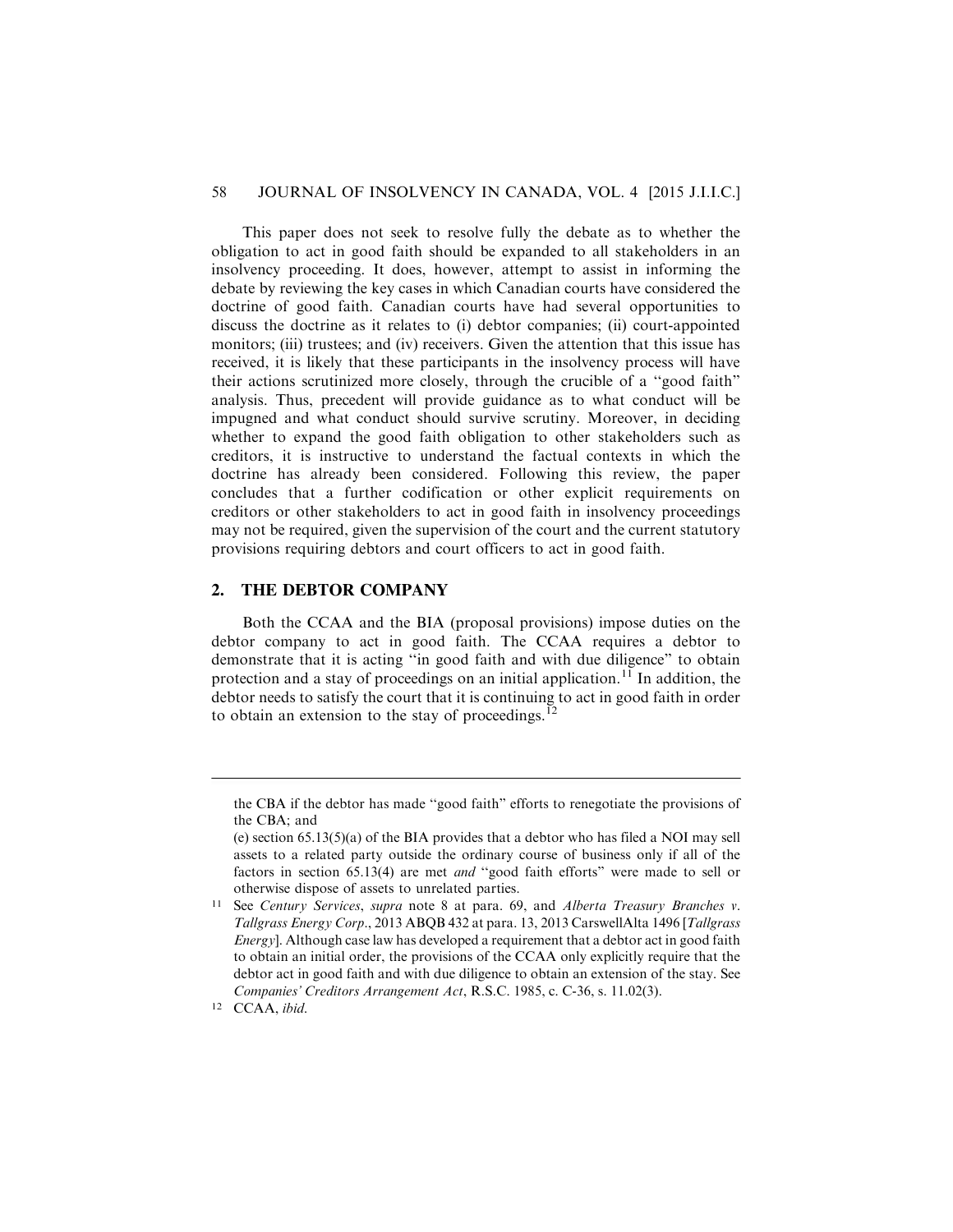# 58 JOURNAL OF INSOLVENCY IN CANADA, VOL. 4 [2015 J.I.I.C.]

This paper does not seek to resolve fully the debate as to whether the obligation to act in good faith should be expanded to all stakeholders in an insolvency proceeding. It does, however, attempt to assist in informing the debate by reviewing the key cases in which Canadian courts have considered the doctrine of good faith. Canadian courts have had several opportunities to discuss the doctrine as it relates to (i) debtor companies; (ii) court-appointed monitors; (iii) trustees; and (iv) receivers. Given the attention that this issue has received, it is likely that these participants in the insolvency process will have their actions scrutinized more closely, through the crucible of a ''good faith" analysis. Thus, precedent will provide guidance as to what conduct will be impugned and what conduct should survive scrutiny. Moreover, in deciding whether to expand the good faith obligation to other stakeholders such as creditors, it is instructive to understand the factual contexts in which the doctrine has already been considered. Following this review, the paper concludes that a further codification or other explicit requirements on creditors or other stakeholders to act in good faith in insolvency proceedings may not be required, given the supervision of the court and the current statutory provisions requiring debtors and court officers to act in good faith.

# **2. THE DEBTOR COMPANY**

Both the CCAA and the BIA (proposal provisions) impose duties on the debtor company to act in good faith. The CCAA requires a debtor to demonstrate that it is acting ''in good faith and with due diligence" to obtain protection and a stay of proceedings on an initial application.<sup>11</sup> In addition, the debtor needs to satisfy the court that it is continuing to act in good faith in order to obtain an extension to the stay of proceedings. $^{12}$ 

the CBA if the debtor has made ''good faith" efforts to renegotiate the provisions of the CBA; and

<sup>(</sup>e) section  $65.13(5)(a)$  of the BIA provides that a debtor who has filed a NOI may sell assets to a related party outside the ordinary course of business only if all of the factors in section 65.13(4) are met and ''good faith efforts" were made to sell or otherwise dispose of assets to unrelated parties.

<sup>11</sup> See Century Services, supra note 8 at para. 69, and Alberta Treasury Branches v. Tallgrass Energy Corp., 2013 ABQB 432 at para. 13, 2013 CarswellAlta 1496 [Tallgrass Energy]. Although case law has developed a requirement that a debtor act in good faith to obtain an initial order, the provisions of the CCAA only explicitly require that the debtor act in good faith and with due diligence to obtain an extension of the stay. See Companies' Creditors Arrangement Act, R.S.C. 1985, c. C-36, s. 11.02(3).

<sup>12</sup> CCAA, ibid.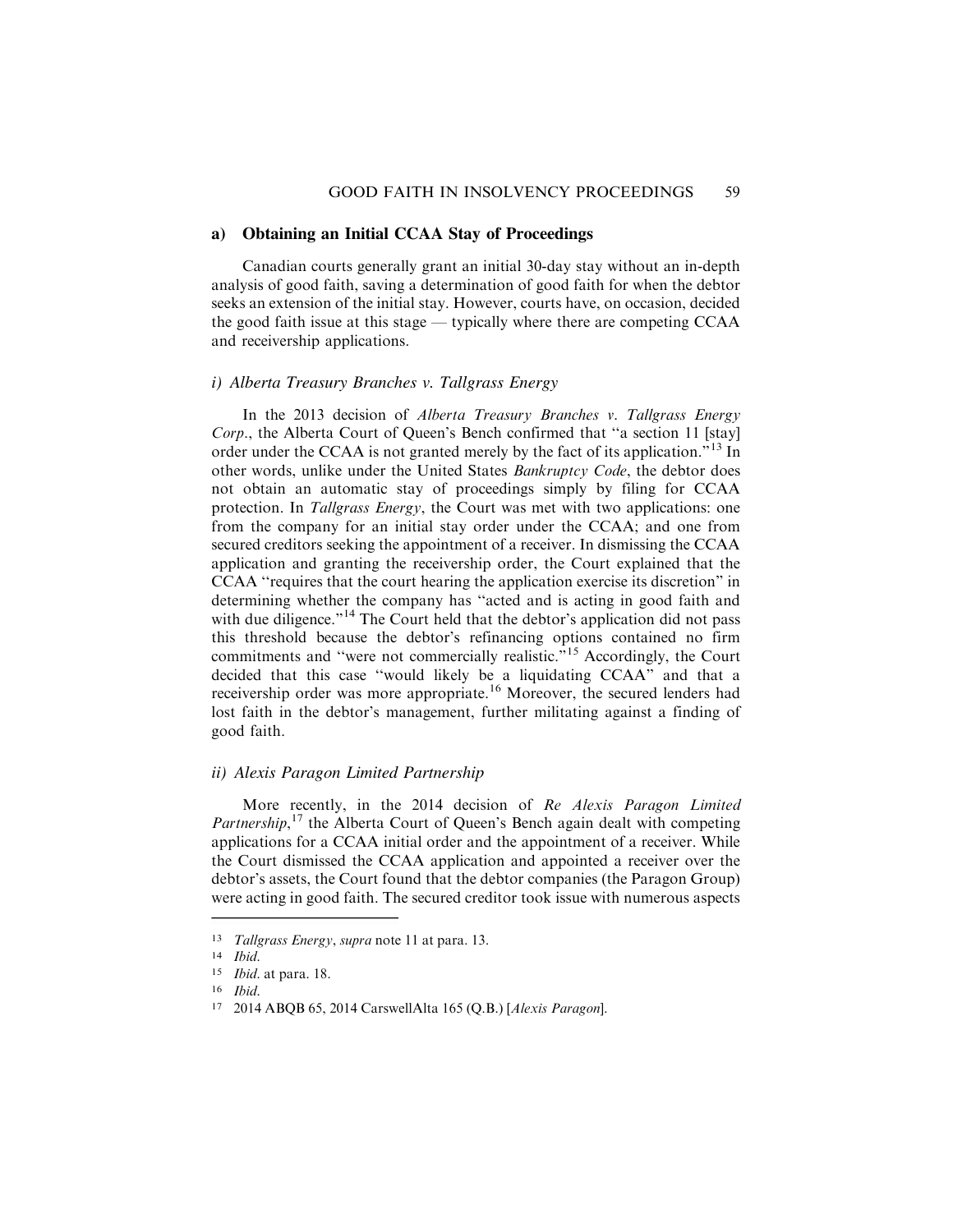#### **a) Obtaining an Initial CCAA Stay of Proceedings**

Canadian courts generally grant an initial 30-day stay without an in-depth analysis of good faith, saving a determination of good faith for when the debtor seeks an extension of the initial stay. However, courts have, on occasion, decided the good faith issue at this stage — typically where there are competing CCAA and receivership applications.

#### *i) Alberta Treasury Branches v. Tallgrass Energy*

In the 2013 decision of Alberta Treasury Branches v. Tallgrass Energy Corp., the Alberta Court of Queen's Bench confirmed that ''a section 11 [stay] order under the CCAA is not granted merely by the fact of its application.<sup>"13</sup> In other words, unlike under the United States Bankruptcy Code, the debtor does not obtain an automatic stay of proceedings simply by filing for CCAA protection. In Tallgrass Energy, the Court was met with two applications: one from the company for an initial stay order under the CCAA; and one from secured creditors seeking the appointment of a receiver. In dismissing the CCAA application and granting the receivership order, the Court explained that the CCAA ''requires that the court hearing the application exercise its discretion" in determining whether the company has ''acted and is acting in good faith and with due diligence."<sup>14</sup> The Court held that the debtor's application did not pass this threshold because the debtor's refinancing options contained no firm commitments and ''were not commercially realistic."<sup>15</sup> Accordingly, the Court decided that this case ''would likely be a liquidating CCAA" and that a receivership order was more appropriate.<sup>16</sup> Moreover, the secured lenders had lost faith in the debtor's management, further militating against a finding of good faith.

## *ii) Alexis Paragon Limited Partnership*

More recently, in the 2014 decision of Re Alexis Paragon Limited Partnership,<sup>17</sup> the Alberta Court of Queen's Bench again dealt with competing applications for a CCAA initial order and the appointment of a receiver. While the Court dismissed the CCAA application and appointed a receiver over the debtor's assets, the Court found that the debtor companies (the Paragon Group) were acting in good faith. The secured creditor took issue with numerous aspects

<sup>13</sup> Tallgrass Energy, supra note 11 at para. 13.

<sup>14</sup> Ibid.

<sup>15</sup> Ibid. at para. 18.

<sup>16</sup> Ibid.

<sup>17</sup> 2014 ABQB 65, 2014 CarswellAlta 165 (Q.B.) [Alexis Paragon].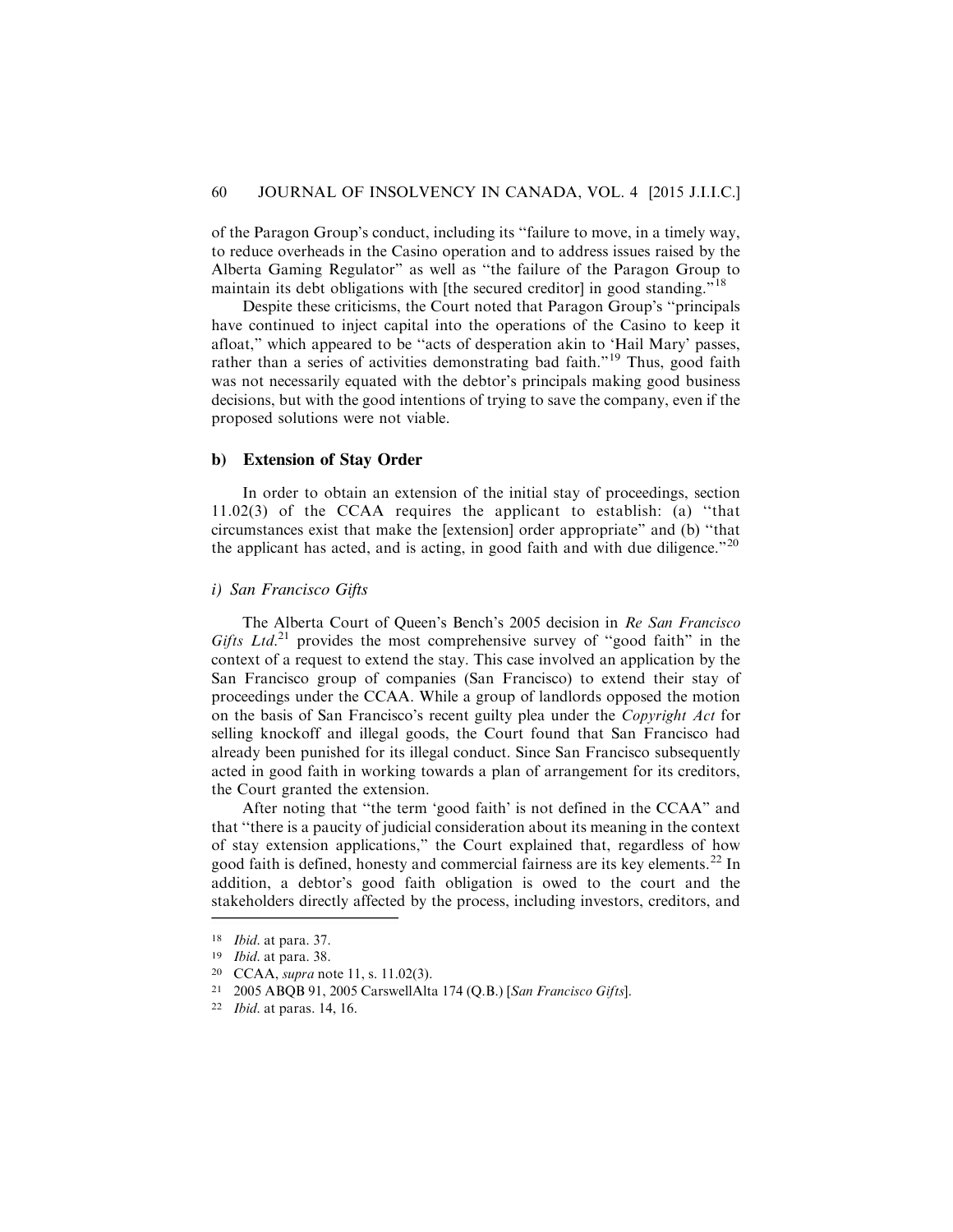of the Paragon Group's conduct, including its ''failure to move, in a timely way, to reduce overheads in the Casino operation and to address issues raised by the Alberta Gaming Regulator" as well as ''the failure of the Paragon Group to maintain its debt obligations with [the secured creditor] in good standing."<sup>18</sup>

Despite these criticisms, the Court noted that Paragon Group's ''principals have continued to inject capital into the operations of the Casino to keep it afloat," which appeared to be ''acts of desperation akin to 'Hail Mary' passes, rather than a series of activities demonstrating bad faith."<sup>19</sup> Thus, good faith was not necessarily equated with the debtor's principals making good business decisions, but with the good intentions of trying to save the company, even if the proposed solutions were not viable.

### **b) Extension of Stay Order**

In order to obtain an extension of the initial stay of proceedings, section 11.02(3) of the CCAA requires the applicant to establish: (a) ''that circumstances exist that make the [extension] order appropriate" and (b) ''that the applicant has acted, and is acting, in good faith and with due diligence." $^{20}$ 

#### *i) San Francisco Gifts*

The Alberta Court of Queen's Bench's 2005 decision in Re San Francisco Gifts Ltd.<sup>21</sup> provides the most comprehensive survey of "good faith" in the context of a request to extend the stay. This case involved an application by the San Francisco group of companies (San Francisco) to extend their stay of proceedings under the CCAA. While a group of landlords opposed the motion on the basis of San Francisco's recent guilty plea under the Copyright Act for selling knockoff and illegal goods, the Court found that San Francisco had already been punished for its illegal conduct. Since San Francisco subsequently acted in good faith in working towards a plan of arrangement for its creditors, the Court granted the extension.

After noting that ''the term 'good faith' is not defined in the CCAA" and that ''there is a paucity of judicial consideration about its meaning in the context of stay extension applications," the Court explained that, regardless of how good faith is defined, honesty and commercial fairness are its key elements.<sup>22</sup> In addition, a debtor's good faith obligation is owed to the court and the stakeholders directly affected by the process, including investors, creditors, and

<sup>18</sup> Ibid. at para. 37.

<sup>19</sup> Ibid. at para. 38.

<sup>20</sup> CCAA, supra note 11, s. 11.02(3).

<sup>21</sup> 2005 ABQB 91, 2005 CarswellAlta 174 (Q.B.) [San Francisco Gifts].

<sup>22</sup> Ibid. at paras. 14, 16.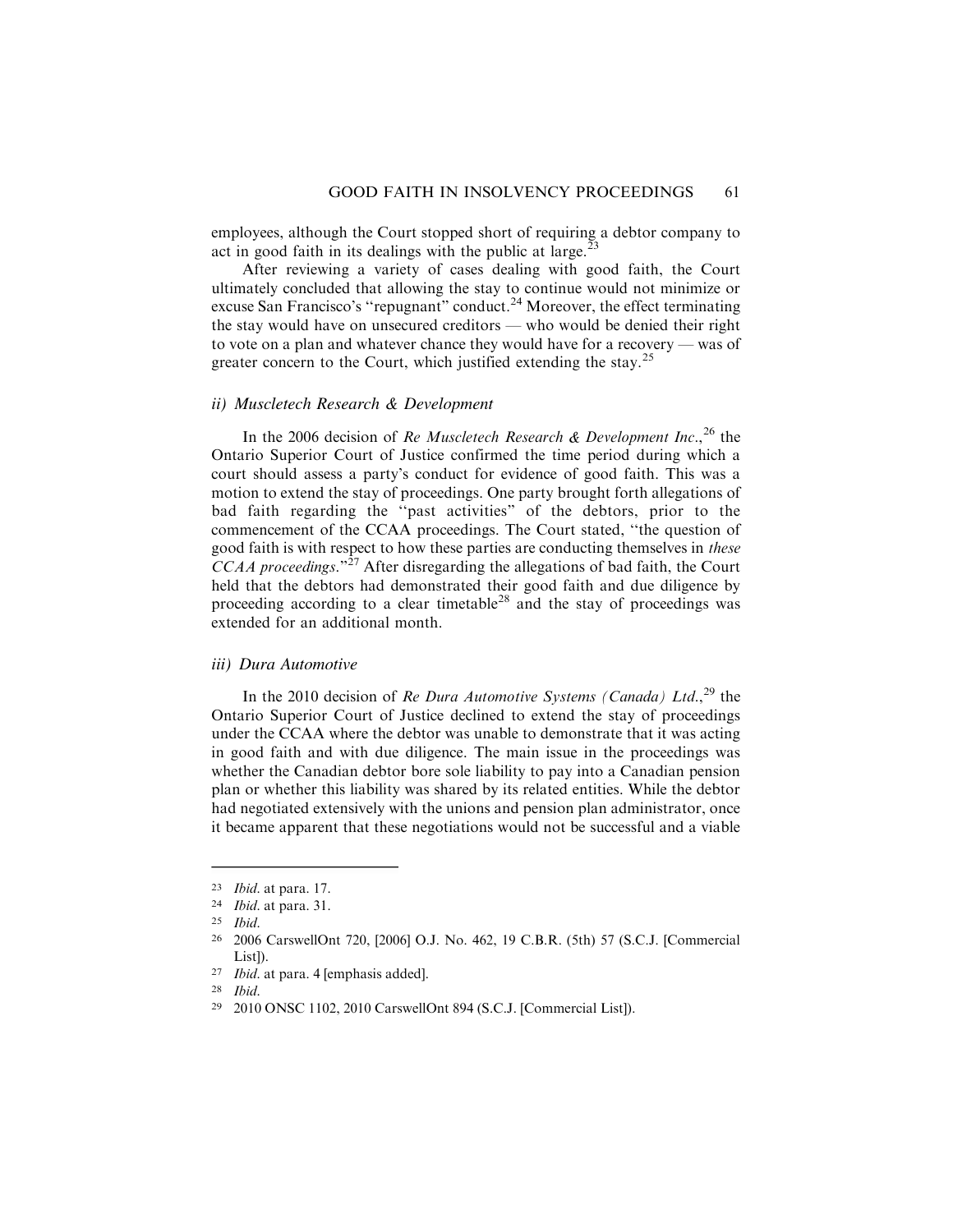employees, although the Court stopped short of requiring a debtor company to act in good faith in its dealings with the public at large. $^{23}$ 

After reviewing a variety of cases dealing with good faith, the Court ultimately concluded that allowing the stay to continue would not minimize or excuse San Francisco's "repugnant" conduct.<sup>24</sup> Moreover, the effect terminating the stay would have on unsecured creditors — who would be denied their right to vote on a plan and whatever chance they would have for a recovery — was of greater concern to the Court, which justified extending the stay.<sup>25</sup>

### *ii) Muscletech Research & Development*

In the 2006 decision of Re Muscletech Research & Development Inc.,  $^{26}$  the Ontario Superior Court of Justice confirmed the time period during which a court should assess a party's conduct for evidence of good faith. This was a motion to extend the stay of proceedings. One party brought forth allegations of bad faith regarding the ''past activities" of the debtors, prior to the commencement of the CCAA proceedings. The Court stated, ''the question of good faith is with respect to how these parties are conducting themselves in these  $CCAA$  proceedings."<sup>27</sup> After disregarding the allegations of bad faith, the Court held that the debtors had demonstrated their good faith and due diligence by proceeding according to a clear timetable<sup>28</sup> and the stay of proceedings was extended for an additional month.

#### *iii) Dura Automotive*

In the 2010 decision of Re Dura Automotive Systems (Canada) Ltd., $^{29}$  the Ontario Superior Court of Justice declined to extend the stay of proceedings under the CCAA where the debtor was unable to demonstrate that it was acting in good faith and with due diligence. The main issue in the proceedings was whether the Canadian debtor bore sole liability to pay into a Canadian pension plan or whether this liability was shared by its related entities. While the debtor had negotiated extensively with the unions and pension plan administrator, once it became apparent that these negotiations would not be successful and a viable

<sup>23</sup> Ibid. at para. 17.

<sup>24</sup> Ibid. at para. 31.

<sup>25</sup> Ibid.

<sup>26</sup> 2006 CarswellOnt 720, [2006] O.J. No. 462, 19 C.B.R. (5th) 57 (S.C.J. [Commercial List]).

<sup>27</sup> Ibid. at para. 4 [emphasis added].

<sup>28</sup> Ibid.

<sup>29</sup> 2010 ONSC 1102, 2010 CarswellOnt 894 (S.C.J. [Commercial List]).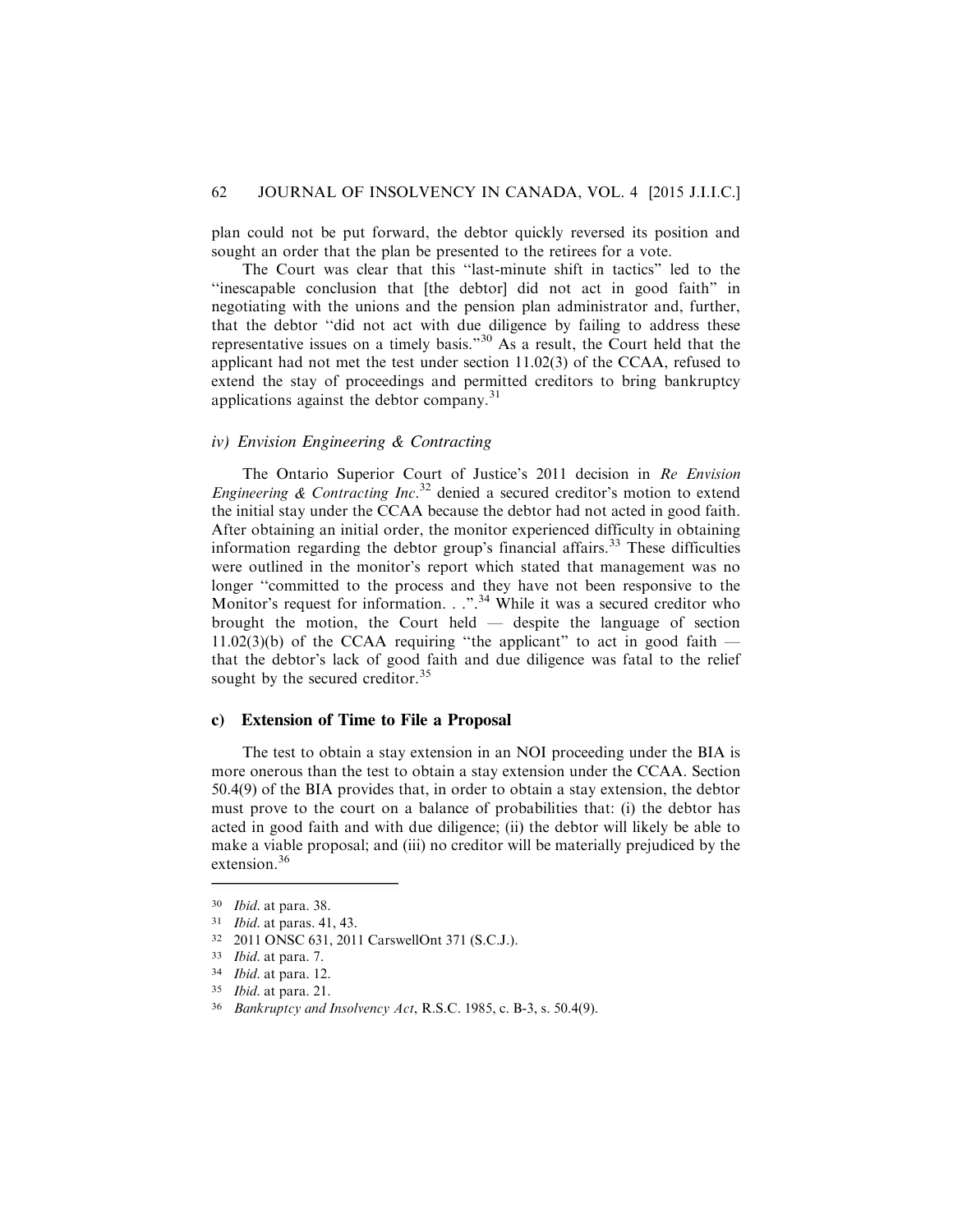plan could not be put forward, the debtor quickly reversed its position and sought an order that the plan be presented to the retirees for a vote.

The Court was clear that this ''last-minute shift in tactics" led to the ''inescapable conclusion that [the debtor] did not act in good faith" in negotiating with the unions and the pension plan administrator and, further, that the debtor ''did not act with due diligence by failing to address these representative issues on a timely basis."<sup>30</sup> As a result, the Court held that the applicant had not met the test under section 11.02(3) of the CCAA, refused to extend the stay of proceedings and permitted creditors to bring bankruptcy applications against the debtor company.<sup>31</sup>

# *iv) Envision Engineering & Contracting*

The Ontario Superior Court of Justice's 2011 decision in Re Envision Engineering  $\&$  Contracting Inc.<sup>32</sup> denied a secured creditor's motion to extend the initial stay under the CCAA because the debtor had not acted in good faith. After obtaining an initial order, the monitor experienced difficulty in obtaining information regarding the debtor group's financial affairs.<sup>33</sup> These difficulties were outlined in the monitor's report which stated that management was no longer ''committed to the process and they have not been responsive to the Monitor's request for information. . .".<sup>34</sup> While it was a secured creditor who brought the motion, the Court held — despite the language of section 11.02(3)(b) of the CCAA requiring "the applicant" to act in good faith  $$ that the debtor's lack of good faith and due diligence was fatal to the relief sought by the secured creditor.<sup>35</sup>

#### **c) Extension of Time to File a Proposal**

The test to obtain a stay extension in an NOI proceeding under the BIA is more onerous than the test to obtain a stay extension under the CCAA. Section 50.4(9) of the BIA provides that, in order to obtain a stay extension, the debtor must prove to the court on a balance of probabilities that: (i) the debtor has acted in good faith and with due diligence; (ii) the debtor will likely be able to make a viable proposal; and (iii) no creditor will be materially prejudiced by the extension.<sup>36</sup>

<sup>30</sup> Ibid. at para. 38.

<sup>31</sup> Ibid. at paras. 41, 43.

<sup>32</sup> 2011 ONSC 631, 2011 CarswellOnt 371 (S.C.J.).

<sup>33</sup> Ibid. at para. 7.

<sup>34</sup> Ibid. at para. 12.

<sup>35</sup> Ibid. at para. 21.

<sup>36</sup> Bankruptcy and Insolvency Act, R.S.C. 1985, c. B-3, s. 50.4(9).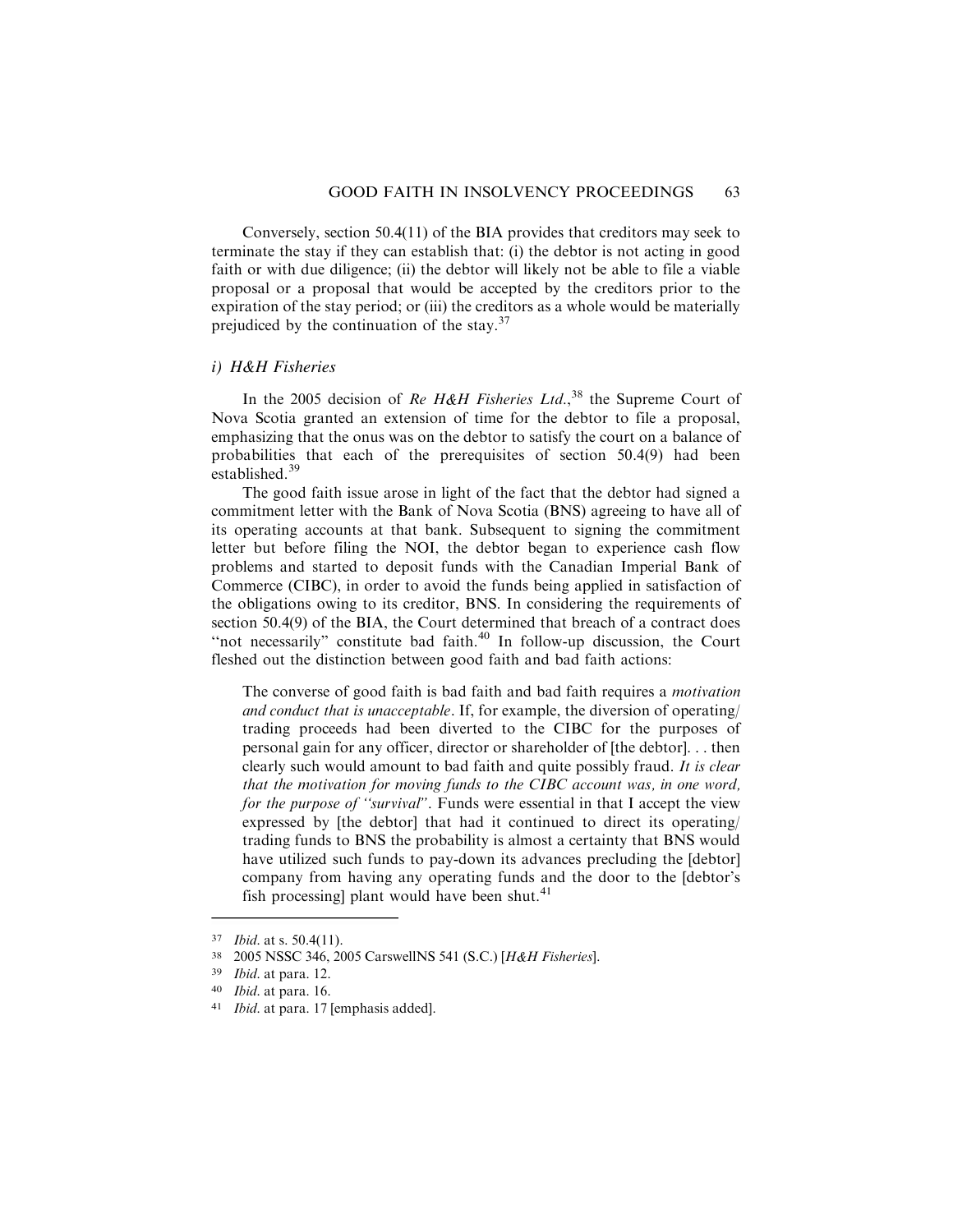Conversely, section 50.4(11) of the BIA provides that creditors may seek to terminate the stay if they can establish that: (i) the debtor is not acting in good faith or with due diligence; (ii) the debtor will likely not be able to file a viable proposal or a proposal that would be accepted by the creditors prior to the expiration of the stay period; or (iii) the creditors as a whole would be materially prejudiced by the continuation of the stay.<sup>37</sup>

### *i) H&H Fisheries*

In the 2005 decision of Re H&H Fisheries Ltd.,<sup>38</sup> the Supreme Court of Nova Scotia granted an extension of time for the debtor to file a proposal, emphasizing that the onus was on the debtor to satisfy the court on a balance of probabilities that each of the prerequisites of section 50.4(9) had been established.<sup>39</sup>

The good faith issue arose in light of the fact that the debtor had signed a commitment letter with the Bank of Nova Scotia (BNS) agreeing to have all of its operating accounts at that bank. Subsequent to signing the commitment letter but before filing the NOI, the debtor began to experience cash flow problems and started to deposit funds with the Canadian Imperial Bank of Commerce (CIBC), in order to avoid the funds being applied in satisfaction of the obligations owing to its creditor, BNS. In considering the requirements of section 50.4(9) of the BIA, the Court determined that breach of a contract does "not necessarily" constitute bad faith.<sup>40</sup> In follow-up discussion, the Court fleshed out the distinction between good faith and bad faith actions:

The converse of good faith is bad faith and bad faith requires a motivation and conduct that is unacceptable. If, for example, the diversion of operating/ trading proceeds had been diverted to the CIBC for the purposes of personal gain for any officer, director or shareholder of [the debtor]. . . then clearly such would amount to bad faith and quite possibly fraud. It is clear that the motivation for moving funds to the CIBC account was, in one word, for the purpose of "survival". Funds were essential in that I accept the view expressed by [the debtor] that had it continued to direct its operating/ trading funds to BNS the probability is almost a certainty that BNS would have utilized such funds to pay-down its advances precluding the [debtor] company from having any operating funds and the door to the [debtor's fish processing] plant would have been shut. $41$ 

<sup>37</sup> Ibid. at s. 50.4(11).

<sup>38</sup> 2005 NSSC 346, 2005 CarswellNS 541 (S.C.) [H&H Fisheries].

<sup>39</sup> Ibid. at para. 12.

<sup>40</sup> Ibid. at para. 16.

<sup>41</sup> Ibid. at para. 17 [emphasis added].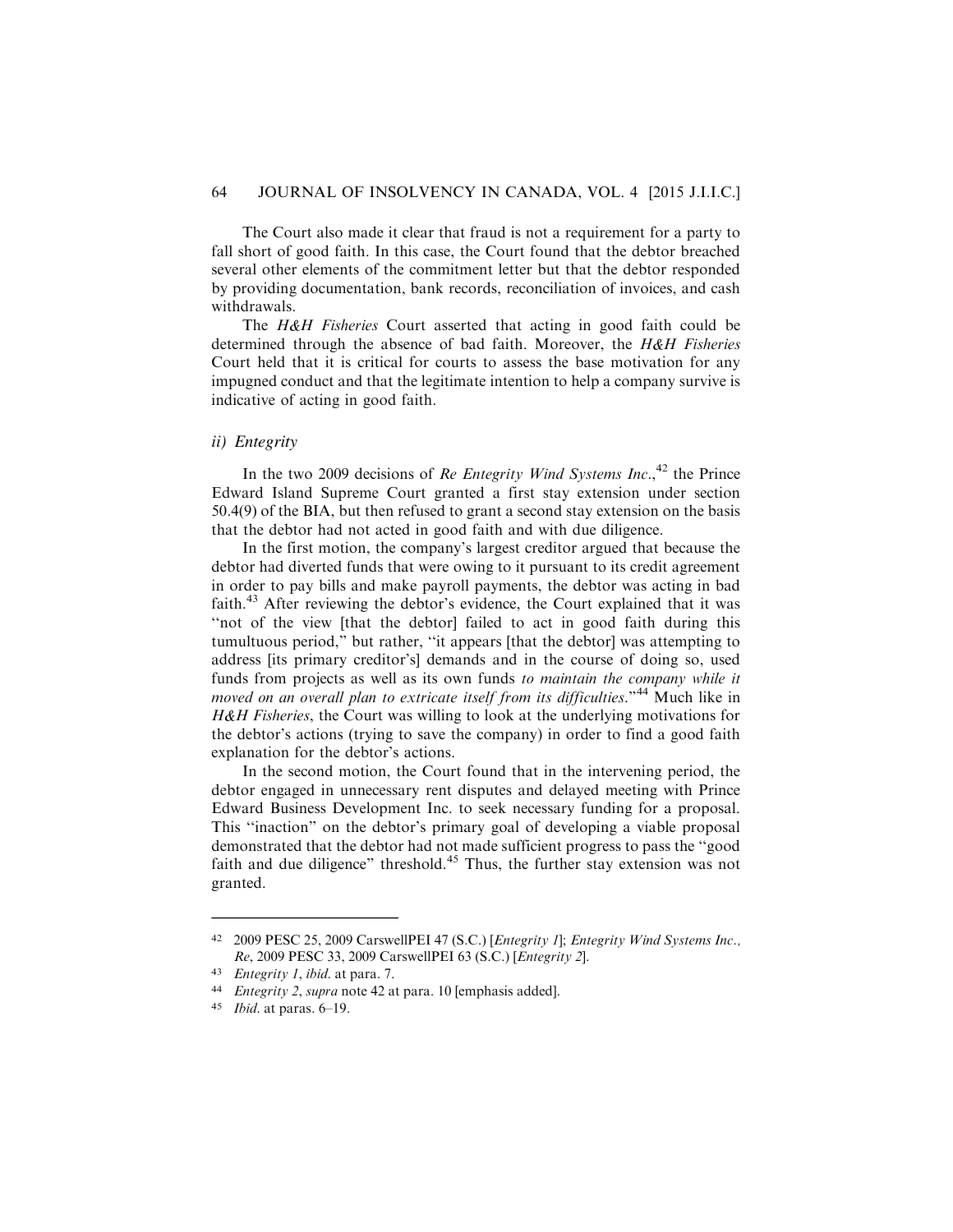The Court also made it clear that fraud is not a requirement for a party to fall short of good faith. In this case, the Court found that the debtor breached several other elements of the commitment letter but that the debtor responded by providing documentation, bank records, reconciliation of invoices, and cash withdrawals.

The H&H Fisheries Court asserted that acting in good faith could be determined through the absence of bad faith. Moreover, the  $H\&H$  Fisheries Court held that it is critical for courts to assess the base motivation for any impugned conduct and that the legitimate intention to help a company survive is indicative of acting in good faith.

# *ii) Entegrity*

In the two 2009 decisions of Re Entegrity Wind Systems Inc.,<sup>42</sup> the Prince Edward Island Supreme Court granted a first stay extension under section 50.4(9) of the BIA, but then refused to grant a second stay extension on the basis that the debtor had not acted in good faith and with due diligence.

In the first motion, the company's largest creditor argued that because the debtor had diverted funds that were owing to it pursuant to its credit agreement in order to pay bills and make payroll payments, the debtor was acting in bad faith.<sup>43</sup> After reviewing the debtor's evidence, the Court explained that it was ''not of the view [that the debtor] failed to act in good faith during this tumultuous period," but rather, ''it appears [that the debtor] was attempting to address [its primary creditor's] demands and in the course of doing so, used funds from projects as well as its own funds to maintain the company while it moved on an overall plan to extricate itself from its difficulties."<sup>44</sup> Much like in H&H Fisheries, the Court was willing to look at the underlying motivations for the debtor's actions (trying to save the company) in order to find a good faith explanation for the debtor's actions.

In the second motion, the Court found that in the intervening period, the debtor engaged in unnecessary rent disputes and delayed meeting with Prince Edward Business Development Inc. to seek necessary funding for a proposal. This ''inaction" on the debtor's primary goal of developing a viable proposal demonstrated that the debtor had not made sufficient progress to pass the ''good faith and due diligence" threshold.<sup>45</sup> Thus, the further stay extension was not granted.

<sup>42</sup> 2009 PESC 25, 2009 CarswellPEI 47 (S.C.) [Entegrity 1]; Entegrity Wind Systems Inc., Re, 2009 PESC 33, 2009 CarswellPEI 63 (S.C.) [Entegrity 2].

<sup>43</sup> Entegrity 1, ibid. at para. 7.

<sup>44</sup> Entegrity 2, supra note 42 at para. 10 [emphasis added].

<sup>45</sup> Ibid. at paras. 6–19.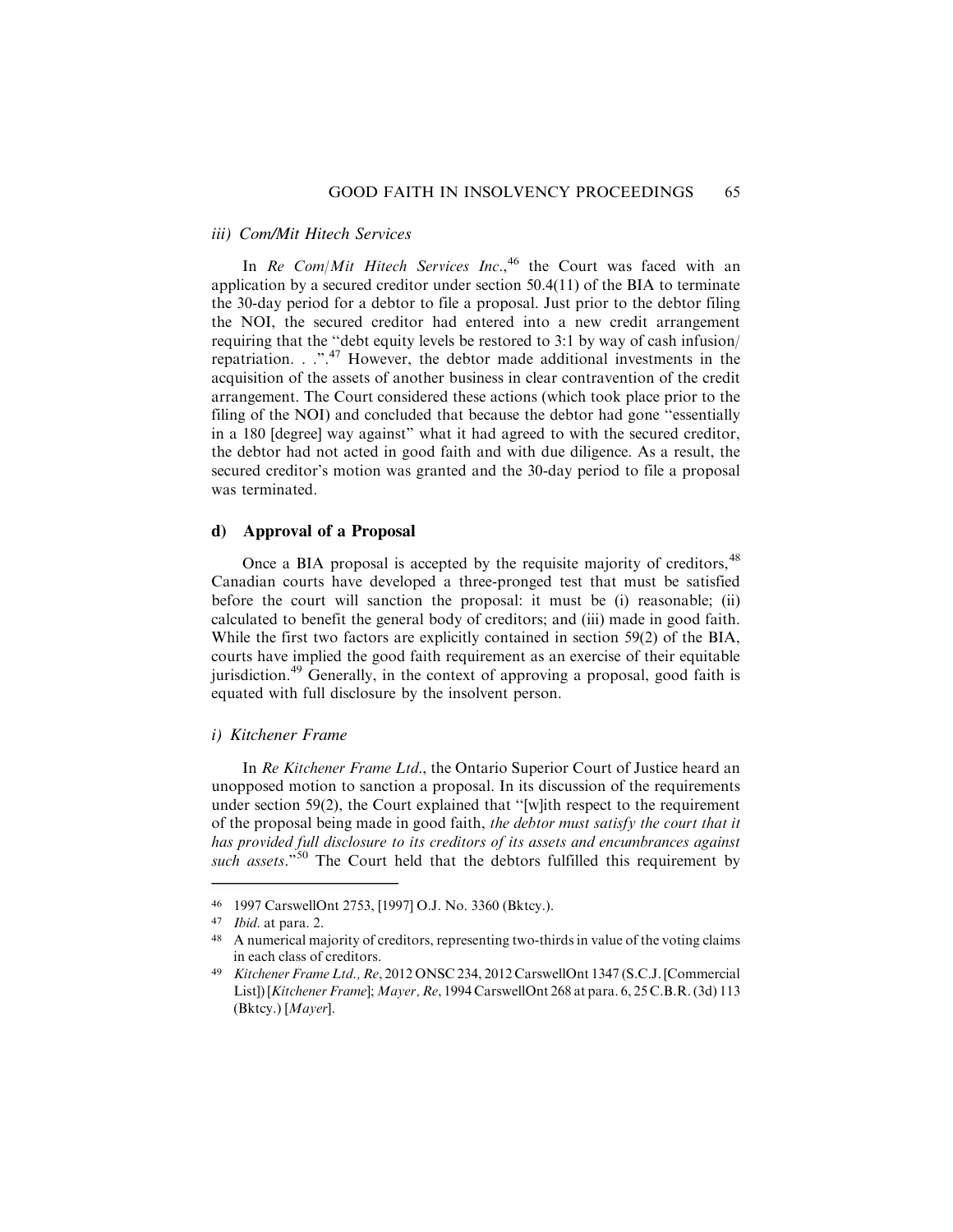#### *iii) Com/Mit Hitech Services*

In Re Com/Mit Hitech Services Inc.,  $46$  the Court was faced with an application by a secured creditor under section 50.4(11) of the BIA to terminate the 30-day period for a debtor to file a proposal. Just prior to the debtor filing the NOI, the secured creditor had entered into a new credit arrangement requiring that the ''debt equity levels be restored to 3:1 by way of cash infusion/ repatriation. . .".<sup>47</sup> However, the debtor made additional investments in the acquisition of the assets of another business in clear contravention of the credit arrangement. The Court considered these actions (which took place prior to the filing of the NOI) and concluded that because the debtor had gone ''essentially in a 180 [degree] way against" what it had agreed to with the secured creditor, the debtor had not acted in good faith and with due diligence. As a result, the secured creditor's motion was granted and the 30-day period to file a proposal was terminated.

### **d) Approval of a Proposal**

Once a BIA proposal is accepted by the requisite majority of creditors, <sup>48</sup> Canadian courts have developed a three-pronged test that must be satisfied before the court will sanction the proposal: it must be (i) reasonable; (ii) calculated to benefit the general body of creditors; and (iii) made in good faith. While the first two factors are explicitly contained in section 59(2) of the BIA, courts have implied the good faith requirement as an exercise of their equitable jurisdiction.<sup>49</sup> Generally, in the context of approving a proposal, good faith is equated with full disclosure by the insolvent person.

# *i) Kitchener Frame*

In Re Kitchener Frame Ltd., the Ontario Superior Court of Justice heard an unopposed motion to sanction a proposal. In its discussion of the requirements under section 59(2), the Court explained that ''[w]ith respect to the requirement of the proposal being made in good faith, the debtor must satisfy the court that it has provided full disclosure to its creditors of its assets and encumbrances against such assets."<sup>50</sup> The Court held that the debtors fulfilled this requirement by

<sup>46 1997</sup> CarswellOnt 2753, [1997] O.J. No. 3360 (Bktcy.).<br>47 Ibid at para 2

Ibid. at para. 2.

<sup>48</sup> A numerical majority of creditors, representing two-thirds in value of the voting claims in each class of creditors.

<sup>49</sup> Kitchener Frame Ltd., Re, 2012 ONSC 234, 2012 CarswellOnt 1347 (S.C.J. [Commercial List]) [Kitchener Frame]; Mayer, Re, 1994 CarswellOnt 268 at para. 6, 25 C.B.R. (3d) 113 (Bktcy.) [Mayer].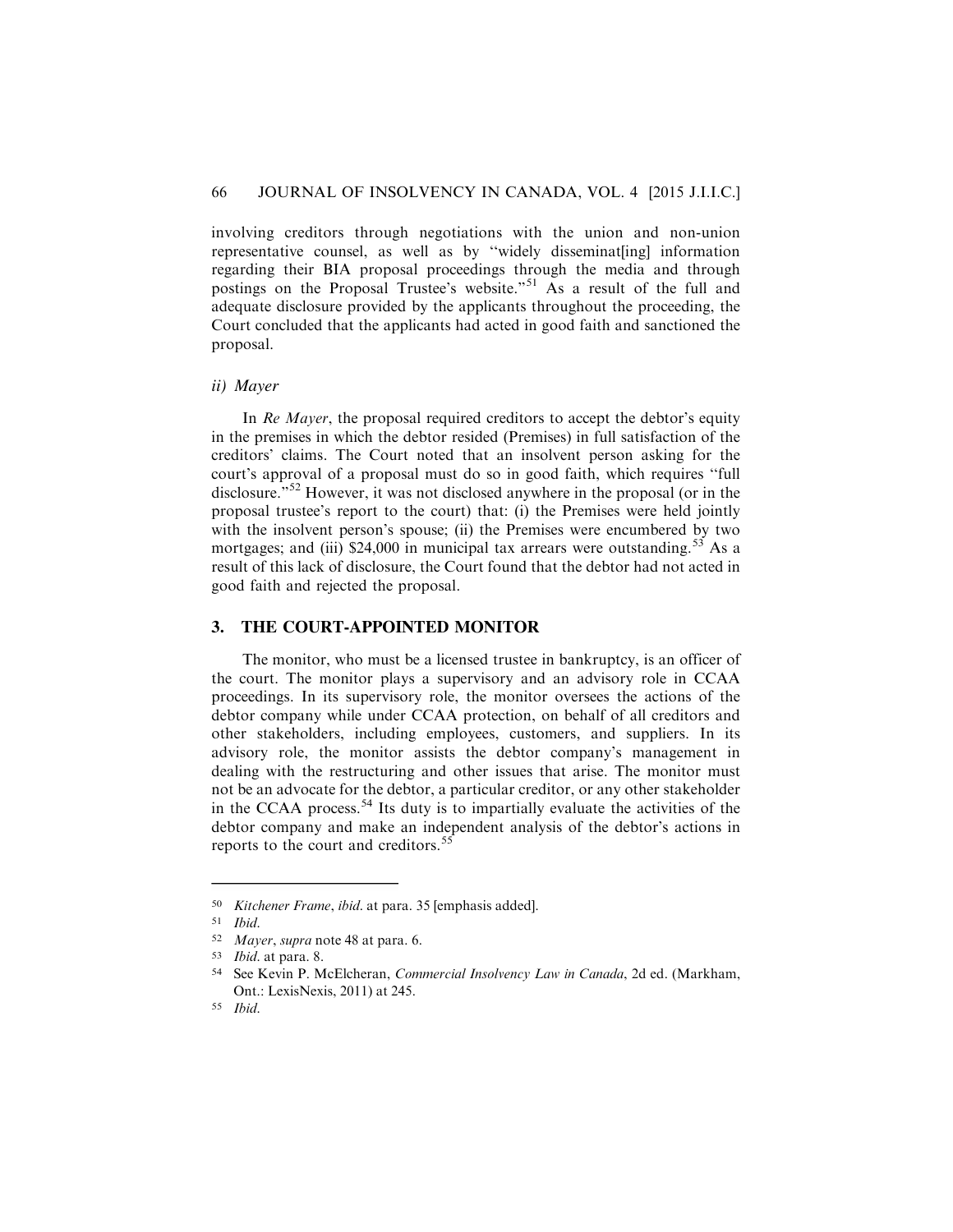involving creditors through negotiations with the union and non-union representative counsel, as well as by ''widely disseminat[ing] information regarding their BIA proposal proceedings through the media and through postings on the Proposal Trustee's website."<sup>51</sup> As a result of the full and adequate disclosure provided by the applicants throughout the proceeding, the Court concluded that the applicants had acted in good faith and sanctioned the proposal.

#### *ii) Mayer*

In Re Mayer, the proposal required creditors to accept the debtor's equity in the premises in which the debtor resided (Premises) in full satisfaction of the creditors' claims. The Court noted that an insolvent person asking for the court's approval of a proposal must do so in good faith, which requires ''full disclosure."<sup>52</sup> However, it was not disclosed anywhere in the proposal (or in the proposal trustee's report to the court) that: (i) the Premises were held jointly with the insolvent person's spouse; (ii) the Premises were encumbered by two mortgages; and (iii)  $$24,000$  in municipal tax arrears were outstanding.<sup>53</sup> As a result of this lack of disclosure, the Court found that the debtor had not acted in good faith and rejected the proposal.

### **3. THE COURT-APPOINTED MONITOR**

The monitor, who must be a licensed trustee in bankruptcy, is an officer of the court. The monitor plays a supervisory and an advisory role in CCAA proceedings. In its supervisory role, the monitor oversees the actions of the debtor company while under CCAA protection, on behalf of all creditors and other stakeholders, including employees, customers, and suppliers. In its advisory role, the monitor assists the debtor company's management in dealing with the restructuring and other issues that arise. The monitor must not be an advocate for the debtor, a particular creditor, or any other stakeholder in the CCAA process.<sup>54</sup> Its duty is to impartially evaluate the activities of the debtor company and make an independent analysis of the debtor's actions in reports to the court and creditors.<sup>55</sup>

<sup>50</sup> Kitchener Frame, ibid. at para. 35 [emphasis added].

<sup>51</sup> Ibid.

<sup>52</sup> Mayer, supra note 48 at para. 6.

<sup>53</sup> Ibid. at para. 8.

<sup>54</sup> See Kevin P. McElcheran, Commercial Insolvency Law in Canada, 2d ed. (Markham, Ont.: LexisNexis, 2011) at 245.

<sup>55</sup> Ibid.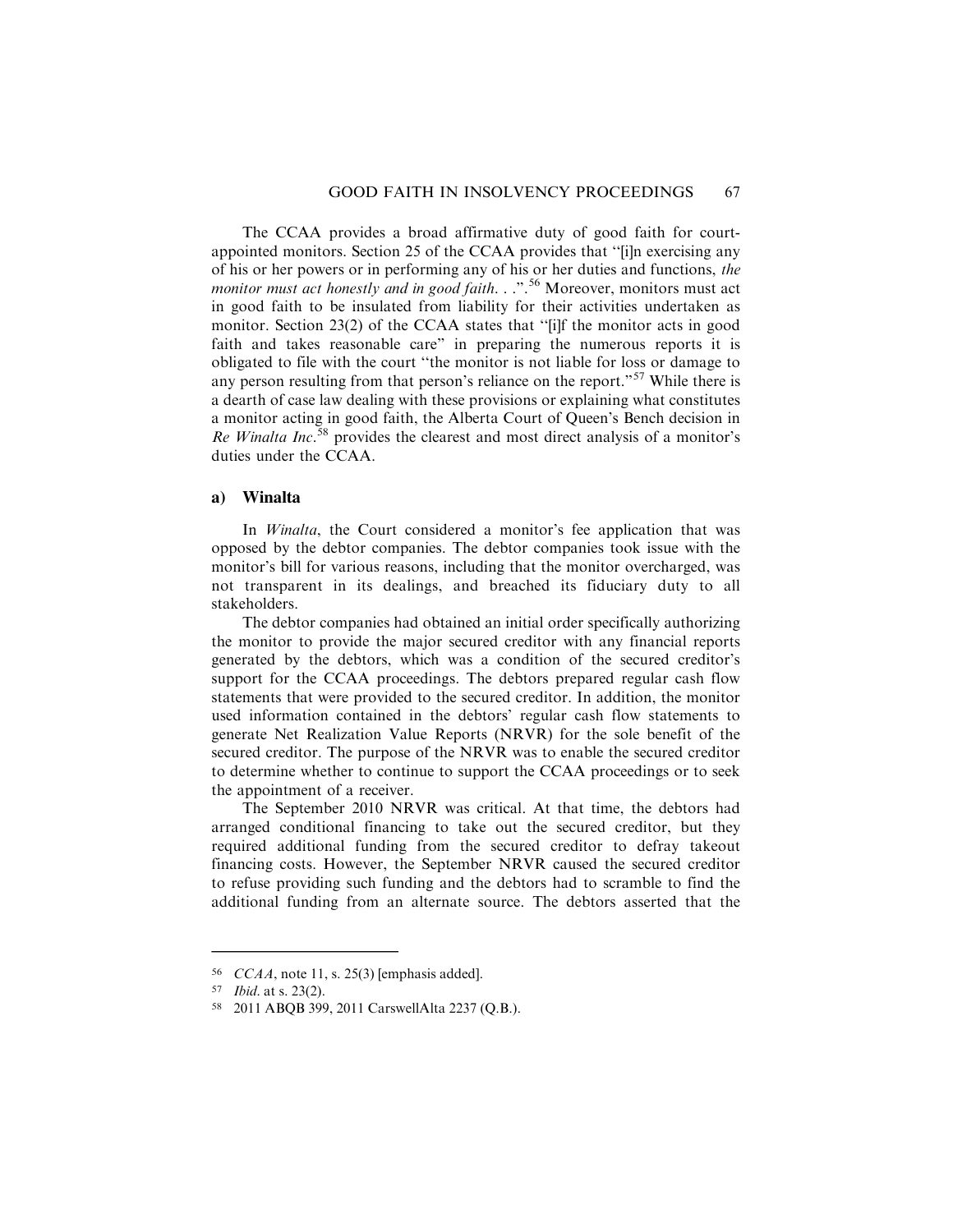The CCAA provides a broad affirmative duty of good faith for courtappointed monitors. Section 25 of the CCAA provides that ''[i]n exercising any of his or her powers or in performing any of his or her duties and functions, the monitor must act honestly and in good faith.  $\ldots$ <sup>56</sup> Moreover, monitors must act in good faith to be insulated from liability for their activities undertaken as monitor. Section 23(2) of the CCAA states that ''[i]f the monitor acts in good faith and takes reasonable care" in preparing the numerous reports it is obligated to file with the court ''the monitor is not liable for loss or damage to any person resulting from that person's reliance on the report."<sup>57</sup> While there is a dearth of case law dealing with these provisions or explaining what constitutes a monitor acting in good faith, the Alberta Court of Queen's Bench decision in Re Winalta Inc.<sup>58</sup> provides the clearest and most direct analysis of a monitor's duties under the CCAA.

### **a) Winalta**

In *Winalta*, the Court considered a monitor's fee application that was opposed by the debtor companies. The debtor companies took issue with the monitor's bill for various reasons, including that the monitor overcharged, was not transparent in its dealings, and breached its fiduciary duty to all stakeholders.

The debtor companies had obtained an initial order specifically authorizing the monitor to provide the major secured creditor with any financial reports generated by the debtors, which was a condition of the secured creditor's support for the CCAA proceedings. The debtors prepared regular cash flow statements that were provided to the secured creditor. In addition, the monitor used information contained in the debtors' regular cash flow statements to generate Net Realization Value Reports (NRVR) for the sole benefit of the secured creditor. The purpose of the NRVR was to enable the secured creditor to determine whether to continue to support the CCAA proceedings or to seek the appointment of a receiver.

The September 2010 NRVR was critical. At that time, the debtors had arranged conditional financing to take out the secured creditor, but they required additional funding from the secured creditor to defray takeout financing costs. However, the September NRVR caused the secured creditor to refuse providing such funding and the debtors had to scramble to find the additional funding from an alternate source. The debtors asserted that the

<sup>56</sup> CCAA, note 11, s. 25(3) [emphasis added].

<sup>57</sup> Ibid. at s. 23(2).

<sup>58</sup> 2011 ABQB 399, 2011 CarswellAlta 2237 (Q.B.).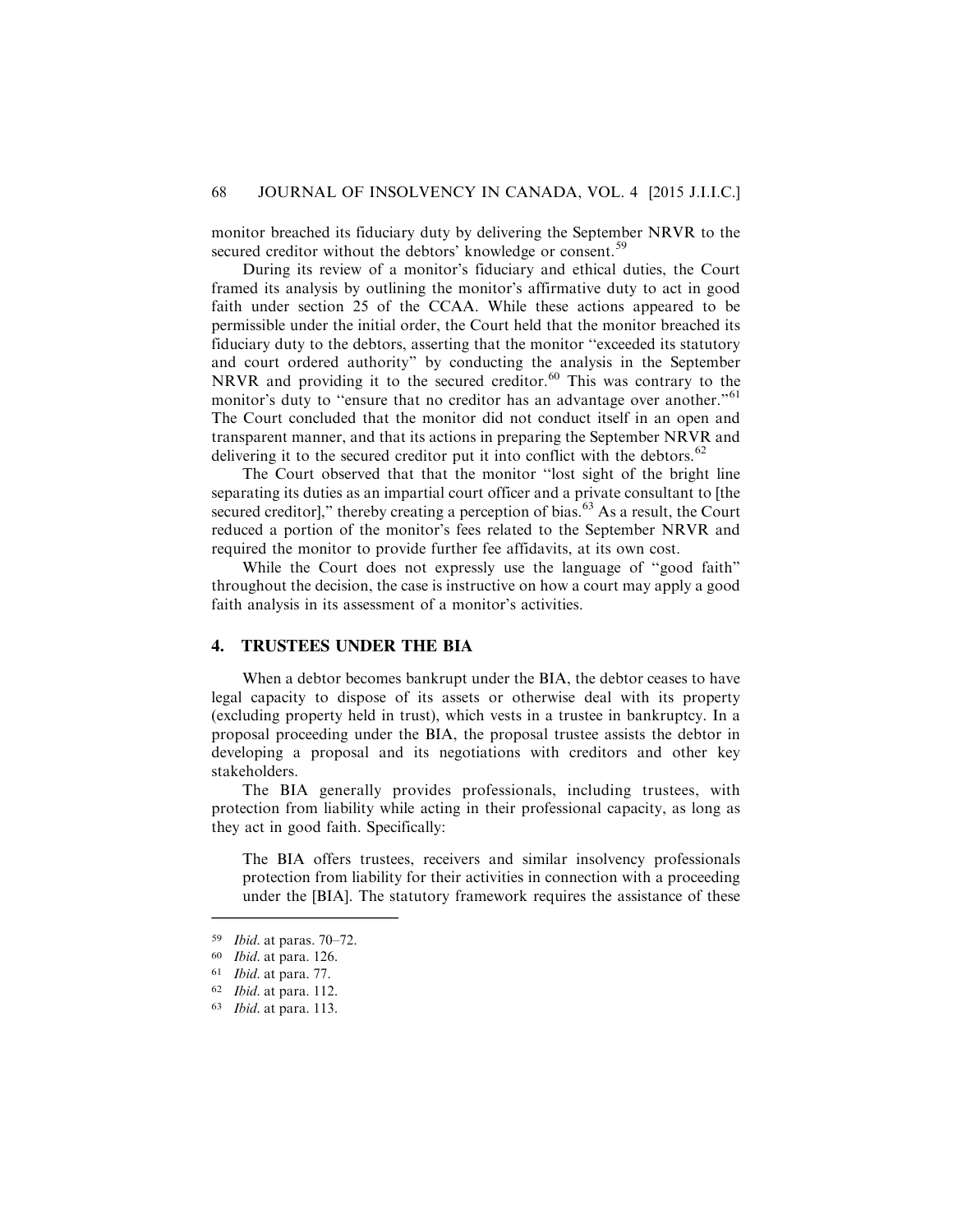monitor breached its fiduciary duty by delivering the September NRVR to the secured creditor without the debtors' knowledge or consent.<sup>59</sup>

During its review of a monitor's fiduciary and ethical duties, the Court framed its analysis by outlining the monitor's affirmative duty to act in good faith under section 25 of the CCAA. While these actions appeared to be permissible under the initial order, the Court held that the monitor breached its fiduciary duty to the debtors, asserting that the monitor ''exceeded its statutory and court ordered authority" by conducting the analysis in the September NRVR and providing it to the secured creditor.<sup>60</sup> This was contrary to the monitor's duty to "ensure that no creditor has an advantage over another."<sup>61</sup> The Court concluded that the monitor did not conduct itself in an open and transparent manner, and that its actions in preparing the September NRVR and delivering it to the secured creditor put it into conflict with the debtors.<sup>62</sup>

The Court observed that that the monitor ''lost sight of the bright line separating its duties as an impartial court officer and a private consultant to [the secured creditor]," thereby creating a perception of bias.<sup>63</sup> As a result, the Court reduced a portion of the monitor's fees related to the September NRVR and required the monitor to provide further fee affidavits, at its own cost.

While the Court does not expressly use the language of ''good faith" throughout the decision, the case is instructive on how a court may apply a good faith analysis in its assessment of a monitor's activities.

# **4. TRUSTEES UNDER THE BIA**

When a debtor becomes bankrupt under the BIA, the debtor ceases to have legal capacity to dispose of its assets or otherwise deal with its property (excluding property held in trust), which vests in a trustee in bankruptcy. In a proposal proceeding under the BIA, the proposal trustee assists the debtor in developing a proposal and its negotiations with creditors and other key stakeholders.

The BIA generally provides professionals, including trustees, with protection from liability while acting in their professional capacity, as long as they act in good faith. Specifically:

The BIA offers trustees, receivers and similar insolvency professionals protection from liability for their activities in connection with a proceeding under the [BIA]. The statutory framework requires the assistance of these

<sup>59</sup> Ibid. at paras. 70–72.

<sup>60</sup> Ibid. at para. 126.

<sup>61</sup> Ibid. at para. 77.

<sup>62</sup> Ibid. at para. 112.

<sup>63</sup> Ibid. at para. 113.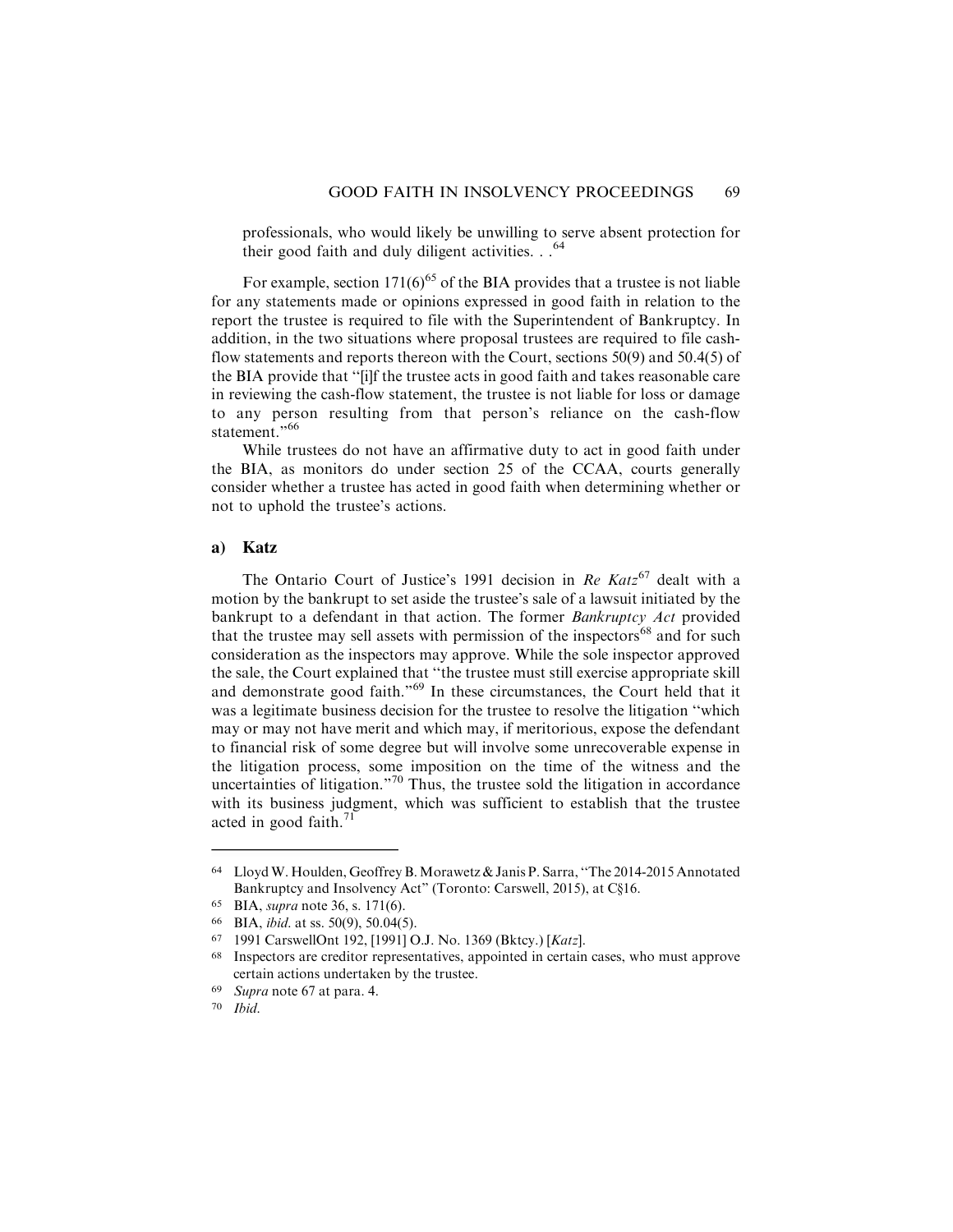professionals, who would likely be unwilling to serve absent protection for their good faith and duly diligent activities. . . <sup>64</sup>

For example, section  $171(6)^{65}$  of the BIA provides that a trustee is not liable for any statements made or opinions expressed in good faith in relation to the report the trustee is required to file with the Superintendent of Bankruptcy. In addition, in the two situations where proposal trustees are required to file cashflow statements and reports thereon with the Court, sections 50(9) and 50.4(5) of the BIA provide that ''[i]f the trustee acts in good faith and takes reasonable care in reviewing the cash-flow statement, the trustee is not liable for loss or damage to any person resulting from that person's reliance on the cash-flow statement."<sup>66</sup>

While trustees do not have an affirmative duty to act in good faith under the BIA, as monitors do under section 25 of the CCAA, courts generally consider whether a trustee has acted in good faith when determining whether or not to uphold the trustee's actions.

# **a) Katz**

The Ontario Court of Justice's 1991 decision in Re  $Katz^{67}$  dealt with a motion by the bankrupt to set aside the trustee's sale of a lawsuit initiated by the bankrupt to a defendant in that action. The former Bankruptcy Act provided that the trustee may sell assets with permission of the inspectors<sup>68</sup> and for such consideration as the inspectors may approve. While the sole inspector approved the sale, the Court explained that ''the trustee must still exercise appropriate skill and demonstrate good faith."<sup>69</sup> In these circumstances, the Court held that it was a legitimate business decision for the trustee to resolve the litigation ''which may or may not have merit and which may, if meritorious, expose the defendant to financial risk of some degree but will involve some unrecoverable expense in the litigation process, some imposition on the time of the witness and the uncertainties of litigation."<sup>70</sup> Thus, the trustee sold the litigation in accordance with its business judgment, which was sufficient to establish that the trustee acted in good faith.<sup>71</sup>

<sup>64</sup> LloydW. Houlden, Geoffrey B.Morawetz & Janis P. Sarra, ''The 2014-2015 Annotated Bankruptcy and Insolvency Act" (Toronto: Carswell, 2015), at C§16.

<sup>65</sup> BIA, supra note 36, s. 171(6).

<sup>66</sup> BIA, ibid. at ss. 50(9), 50.04(5).

<sup>67</sup> 1991 CarswellOnt 192, [1991] O.J. No. 1369 (Bktcy.) [Katz].

<sup>68</sup> Inspectors are creditor representatives, appointed in certain cases, who must approve certain actions undertaken by the trustee.

<sup>69</sup> Supra note 67 at para. 4.

<sup>70</sup> Ibid.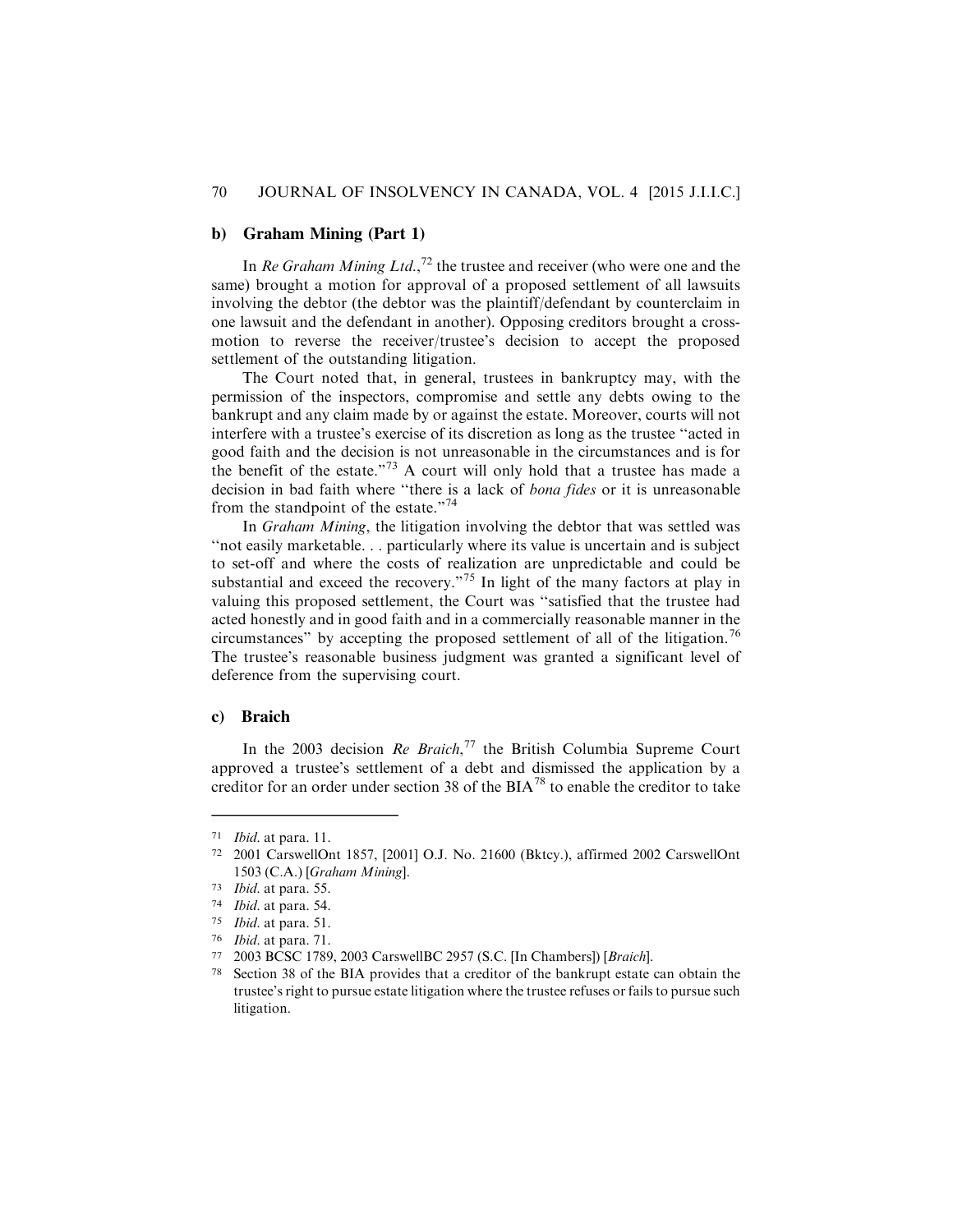## **b) Graham Mining (Part 1)**

In Re Graham Mining Ltd.,<sup>72</sup> the trustee and receiver (who were one and the same) brought a motion for approval of a proposed settlement of all lawsuits involving the debtor (the debtor was the plaintiff/defendant by counterclaim in one lawsuit and the defendant in another). Opposing creditors brought a crossmotion to reverse the receiver/trustee's decision to accept the proposed settlement of the outstanding litigation.

The Court noted that, in general, trustees in bankruptcy may, with the permission of the inspectors, compromise and settle any debts owing to the bankrupt and any claim made by or against the estate. Moreover, courts will not interfere with a trustee's exercise of its discretion as long as the trustee ''acted in good faith and the decision is not unreasonable in the circumstances and is for the benefit of the estate."<sup>73</sup> A court will only hold that a trustee has made a decision in bad faith where ''there is a lack of bona fides or it is unreasonable from the standpoint of the estate."<sup>74</sup>

In Graham Mining, the litigation involving the debtor that was settled was ''not easily marketable. . . particularly where its value is uncertain and is subject to set-off and where the costs of realization are unpredictable and could be substantial and exceed the recovery."<sup>75</sup> In light of the many factors at play in valuing this proposed settlement, the Court was ''satisfied that the trustee had acted honestly and in good faith and in a commercially reasonable manner in the circumstances" by accepting the proposed settlement of all of the litigation.<sup>76</sup> The trustee's reasonable business judgment was granted a significant level of deference from the supervising court.

#### **c) Braich**

In the 2003 decision Re Braich,<sup>77</sup> the British Columbia Supreme Court approved a trustee's settlement of a debt and dismissed the application by a creditor for an order under section 38 of the  $BIA^{78}$  to enable the creditor to take

<sup>71</sup> Ibid. at para. 11.

<sup>72</sup> 2001 CarswellOnt 1857, [2001] O.J. No. 21600 (Bktcy.), affirmed 2002 CarswellOnt 1503 (C.A.) [Graham Mining].

<sup>73</sup> Ibid. at para. 55.

<sup>74</sup> Ibid. at para. 54.

<sup>75</sup> Ibid. at para. 51.

<sup>76</sup> Ibid. at para. 71.

<sup>77</sup> 2003 BCSC 1789, 2003 CarswellBC 2957 (S.C. [In Chambers]) [Braich].

<sup>78</sup> Section 38 of the BIA provides that a creditor of the bankrupt estate can obtain the trustee's right to pursue estate litigation where the trustee refuses or fails to pursue such litigation.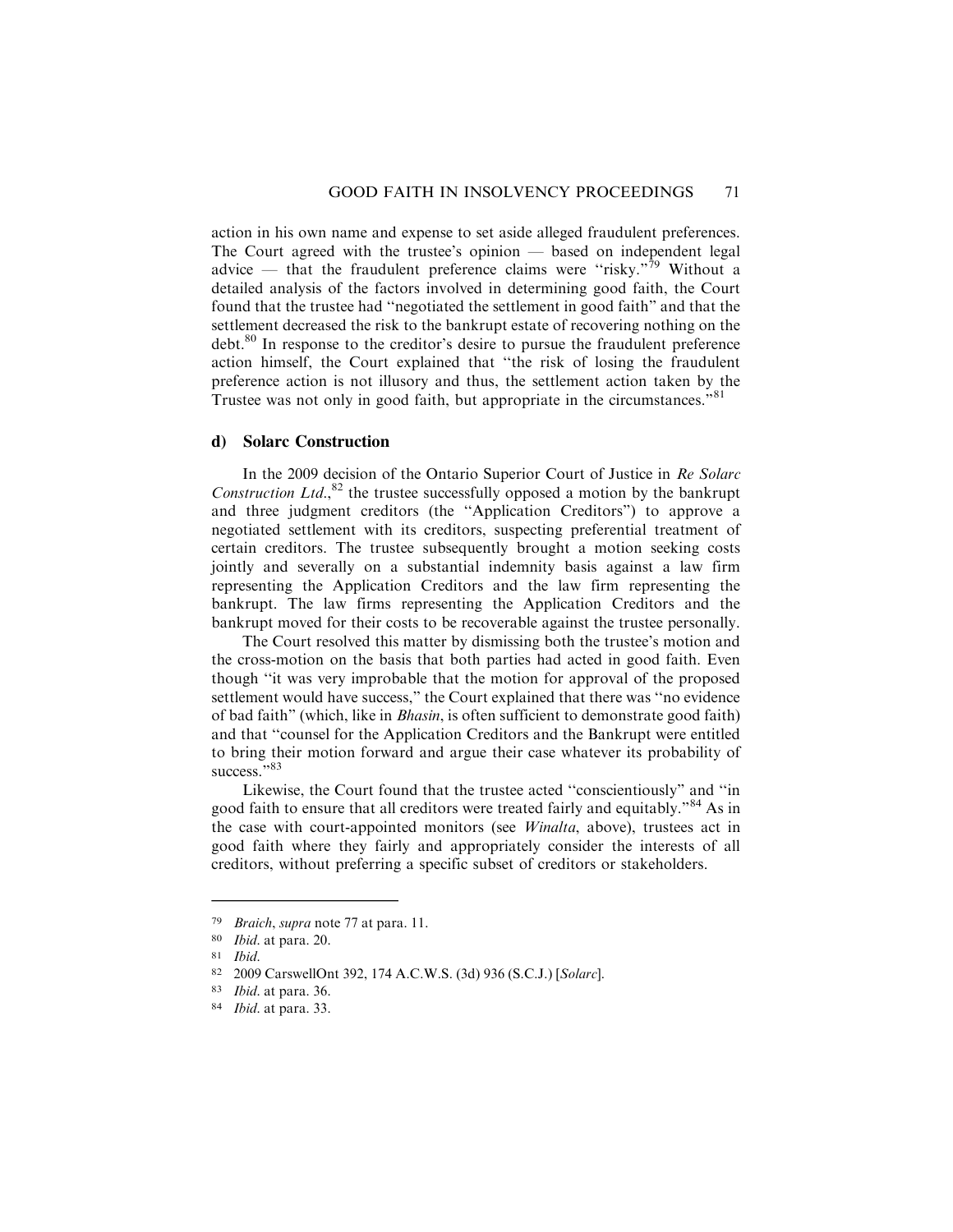action in his own name and expense to set aside alleged fraudulent preferences. The Court agreed with the trustee's opinion — based on independent legal advice — that the fraudulent preference claims were "risky."<sup>79</sup> Without a detailed analysis of the factors involved in determining good faith, the Court found that the trustee had ''negotiated the settlement in good faith" and that the settlement decreased the risk to the bankrupt estate of recovering nothing on the debt.<sup>80</sup> In response to the creditor's desire to pursue the fraudulent preference action himself, the Court explained that ''the risk of losing the fraudulent preference action is not illusory and thus, the settlement action taken by the Trustee was not only in good faith, but appropriate in the circumstances."<sup>81</sup>

### **d) Solarc Construction**

In the 2009 decision of the Ontario Superior Court of Justice in Re Solarc Construction Ltd., ${}^{82}$  the trustee successfully opposed a motion by the bankrupt and three judgment creditors (the ''Application Creditors") to approve a negotiated settlement with its creditors, suspecting preferential treatment of certain creditors. The trustee subsequently brought a motion seeking costs jointly and severally on a substantial indemnity basis against a law firm representing the Application Creditors and the law firm representing the bankrupt. The law firms representing the Application Creditors and the bankrupt moved for their costs to be recoverable against the trustee personally.

The Court resolved this matter by dismissing both the trustee's motion and the cross-motion on the basis that both parties had acted in good faith. Even though ''it was very improbable that the motion for approval of the proposed settlement would have success," the Court explained that there was ''no evidence of bad faith" (which, like in Bhasin, is often sufficient to demonstrate good faith) and that ''counsel for the Application Creditors and the Bankrupt were entitled to bring their motion forward and argue their case whatever its probability of success."83

Likewise, the Court found that the trustee acted ''conscientiously" and ''in good faith to ensure that all creditors were treated fairly and equitably."<sup>84</sup> As in the case with court-appointed monitors (see Winalta, above), trustees act in good faith where they fairly and appropriately consider the interests of all creditors, without preferring a specific subset of creditors or stakeholders.

<sup>79</sup> Braich, supra note 77 at para. 11.

<sup>80</sup> Ibid. at para. 20.

<sup>81</sup> Ibid.

<sup>82</sup> 2009 CarswellOnt 392, 174 A.C.W.S. (3d) 936 (S.C.J.) [Solarc].

<sup>83</sup> Ibid. at para. 36.

<sup>84</sup> Ibid. at para. 33.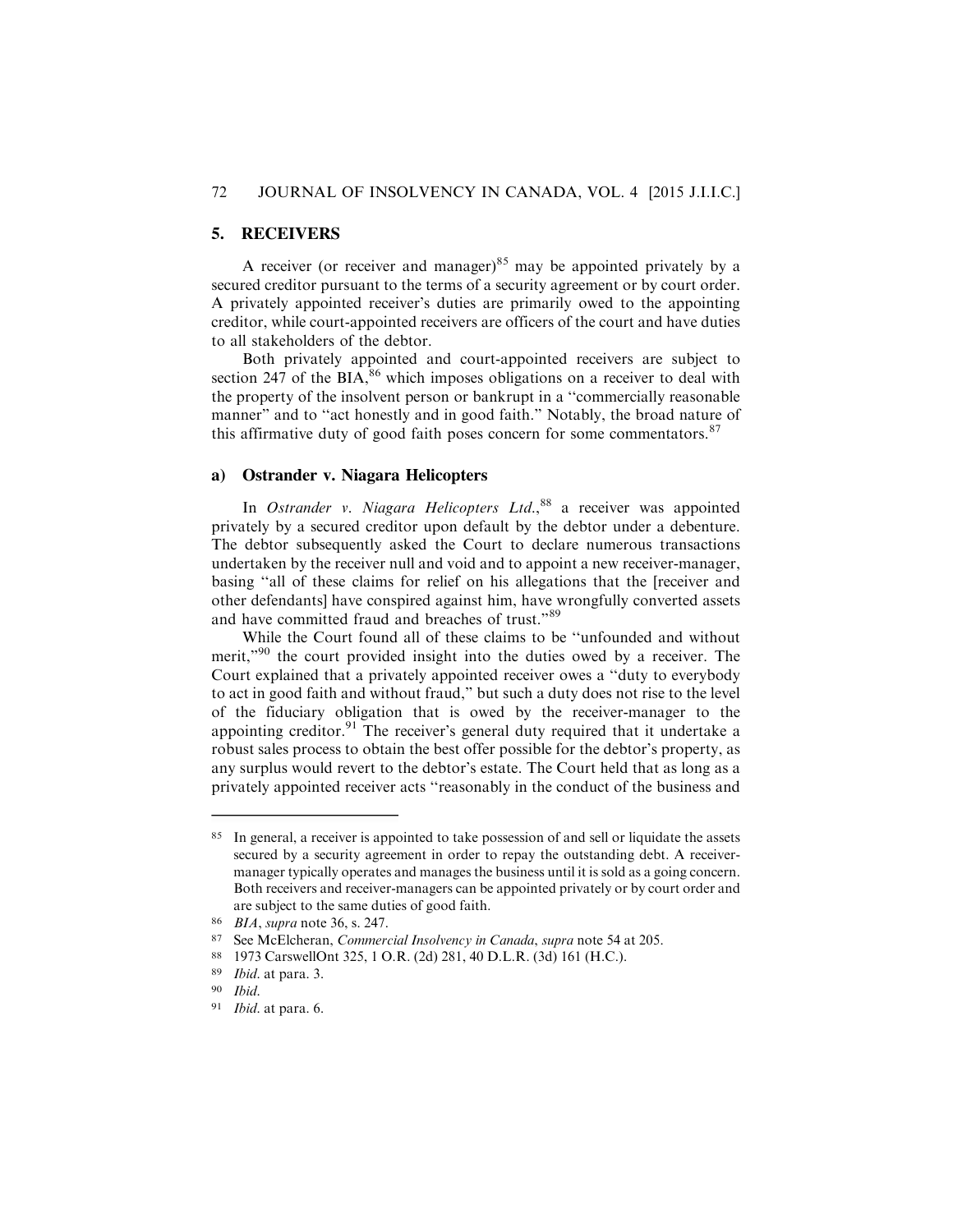#### 72 JOURNAL OF INSOLVENCY IN CANADA, VOL. 4 [2015 J.I.I.C.]

### **5. RECEIVERS**

A receiver (or receiver and manager)<sup>85</sup> may be appointed privately by a secured creditor pursuant to the terms of a security agreement or by court order. A privately appointed receiver's duties are primarily owed to the appointing creditor, while court-appointed receivers are officers of the court and have duties to all stakeholders of the debtor.

Both privately appointed and court-appointed receivers are subject to section 247 of the  $BIA<sub>286</sub>$ <sup>86</sup> which imposes obligations on a receiver to deal with the property of the insolvent person or bankrupt in a ''commercially reasonable manner" and to ''act honestly and in good faith." Notably, the broad nature of this affirmative duty of good faith poses concern for some commentators. $87$ 

#### **a) Ostrander v. Niagara Helicopters**

In Ostrander v. Niagara Helicopters Ltd.,<sup>88</sup> a receiver was appointed privately by a secured creditor upon default by the debtor under a debenture. The debtor subsequently asked the Court to declare numerous transactions undertaken by the receiver null and void and to appoint a new receiver-manager, basing ''all of these claims for relief on his allegations that the [receiver and other defendants] have conspired against him, have wrongfully converted assets and have committed fraud and breaches of trust."<sup>89</sup>

While the Court found all of these claims to be ''unfounded and without merit,"<sup>90</sup> the court provided insight into the duties owed by a receiver. The Court explained that a privately appointed receiver owes a ''duty to everybody to act in good faith and without fraud," but such a duty does not rise to the level of the fiduciary obligation that is owed by the receiver-manager to the appointing creditor.<sup>91</sup> The receiver's general duty required that it undertake a robust sales process to obtain the best offer possible for the debtor's property, as any surplus would revert to the debtor's estate. The Court held that as long as a privately appointed receiver acts ''reasonably in the conduct of the business and

<sup>85</sup> In general, a receiver is appointed to take possession of and sell or liquidate the assets secured by a security agreement in order to repay the outstanding debt. A receivermanager typically operates and manages the business until it is sold as a going concern. Both receivers and receiver-managers can be appointed privately or by court order and are subject to the same duties of good faith.

<sup>86</sup> BIA, supra note 36, s. 247.

<sup>87</sup> See McElcheran, Commercial Insolvency in Canada, supra note 54 at 205.

<sup>88</sup> 1973 CarswellOnt 325, 1 O.R. (2d) 281, 40 D.L.R. (3d) 161 (H.C.).

<sup>89</sup> Ibid. at para. 3.

<sup>90</sup> Ibid.

<sup>91</sup> Ibid. at para. 6.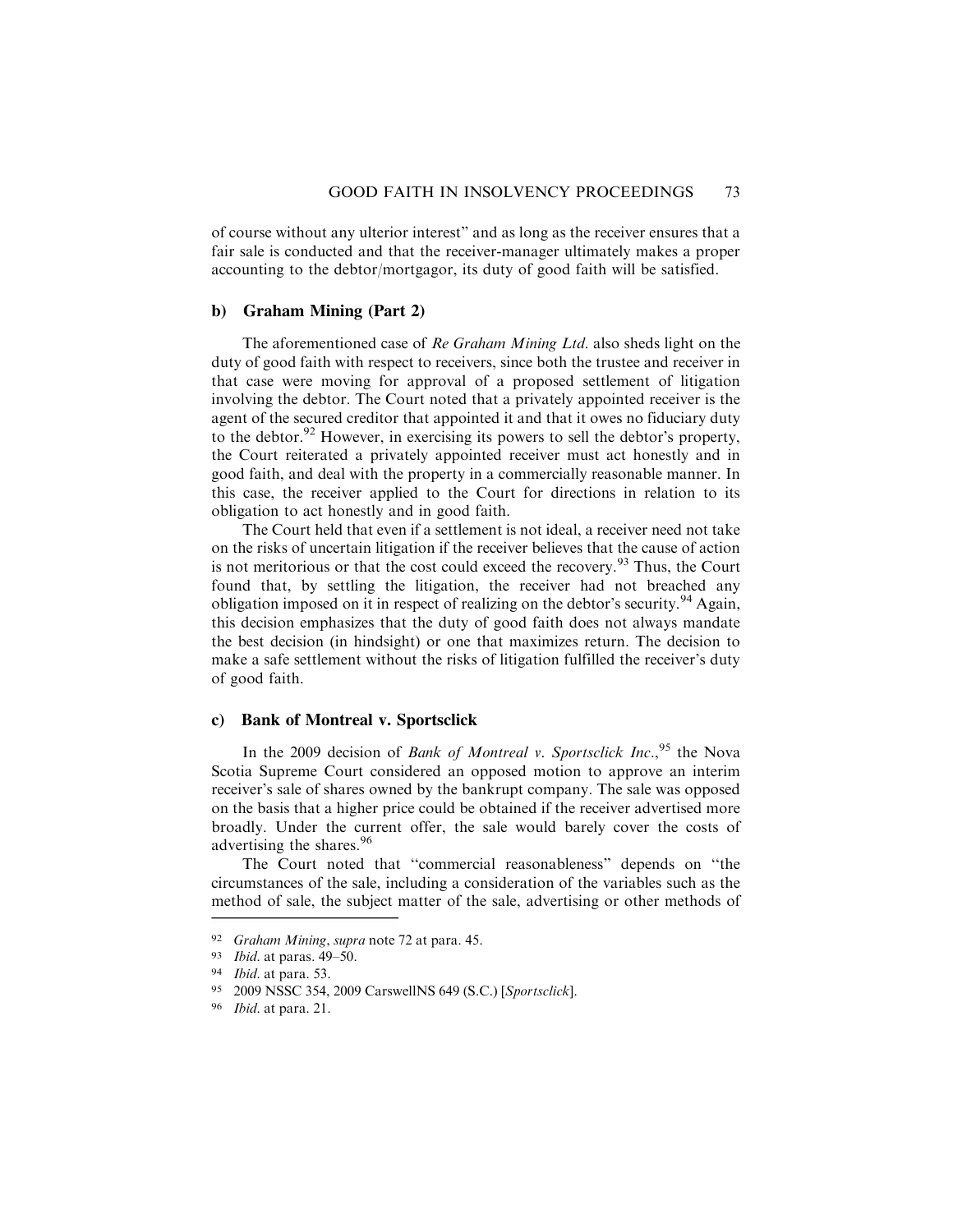of course without any ulterior interest" and as long as the receiver ensures that a fair sale is conducted and that the receiver-manager ultimately makes a proper accounting to the debtor/mortgagor, its duty of good faith will be satisfied.

#### **b) Graham Mining (Part 2)**

The aforementioned case of Re Graham Mining Ltd. also sheds light on the duty of good faith with respect to receivers, since both the trustee and receiver in that case were moving for approval of a proposed settlement of litigation involving the debtor. The Court noted that a privately appointed receiver is the agent of the secured creditor that appointed it and that it owes no fiduciary duty to the debtor. $92$  However, in exercising its powers to sell the debtor's property, the Court reiterated a privately appointed receiver must act honestly and in good faith, and deal with the property in a commercially reasonable manner. In this case, the receiver applied to the Court for directions in relation to its obligation to act honestly and in good faith.

The Court held that even if a settlement is not ideal, a receiver need not take on the risks of uncertain litigation if the receiver believes that the cause of action is not meritorious or that the cost could exceed the recovery.<sup>93</sup> Thus, the Court found that, by settling the litigation, the receiver had not breached any obligation imposed on it in respect of realizing on the debtor's security.<sup>94</sup> Again, this decision emphasizes that the duty of good faith does not always mandate the best decision (in hindsight) or one that maximizes return. The decision to make a safe settlement without the risks of litigation fulfilled the receiver's duty of good faith.

### **c) Bank of Montreal v. Sportsclick**

In the 2009 decision of *Bank of Montreal v. Sportsclick Inc.*,<sup>95</sup> the Nova Scotia Supreme Court considered an opposed motion to approve an interim receiver's sale of shares owned by the bankrupt company. The sale was opposed on the basis that a higher price could be obtained if the receiver advertised more broadly. Under the current offer, the sale would barely cover the costs of advertising the shares.<sup>96</sup>

The Court noted that ''commercial reasonableness" depends on ''the circumstances of the sale, including a consideration of the variables such as the method of sale, the subject matter of the sale, advertising or other methods of

<sup>92</sup> Graham Mining, supra note 72 at para. 45.

<sup>93</sup> Ibid. at paras. 49–50.

<sup>94</sup> Ibid. at para. 53.

<sup>95</sup> 2009 NSSC 354, 2009 CarswellNS 649 (S.C.) [Sportsclick].

<sup>96</sup> Ibid. at para. 21.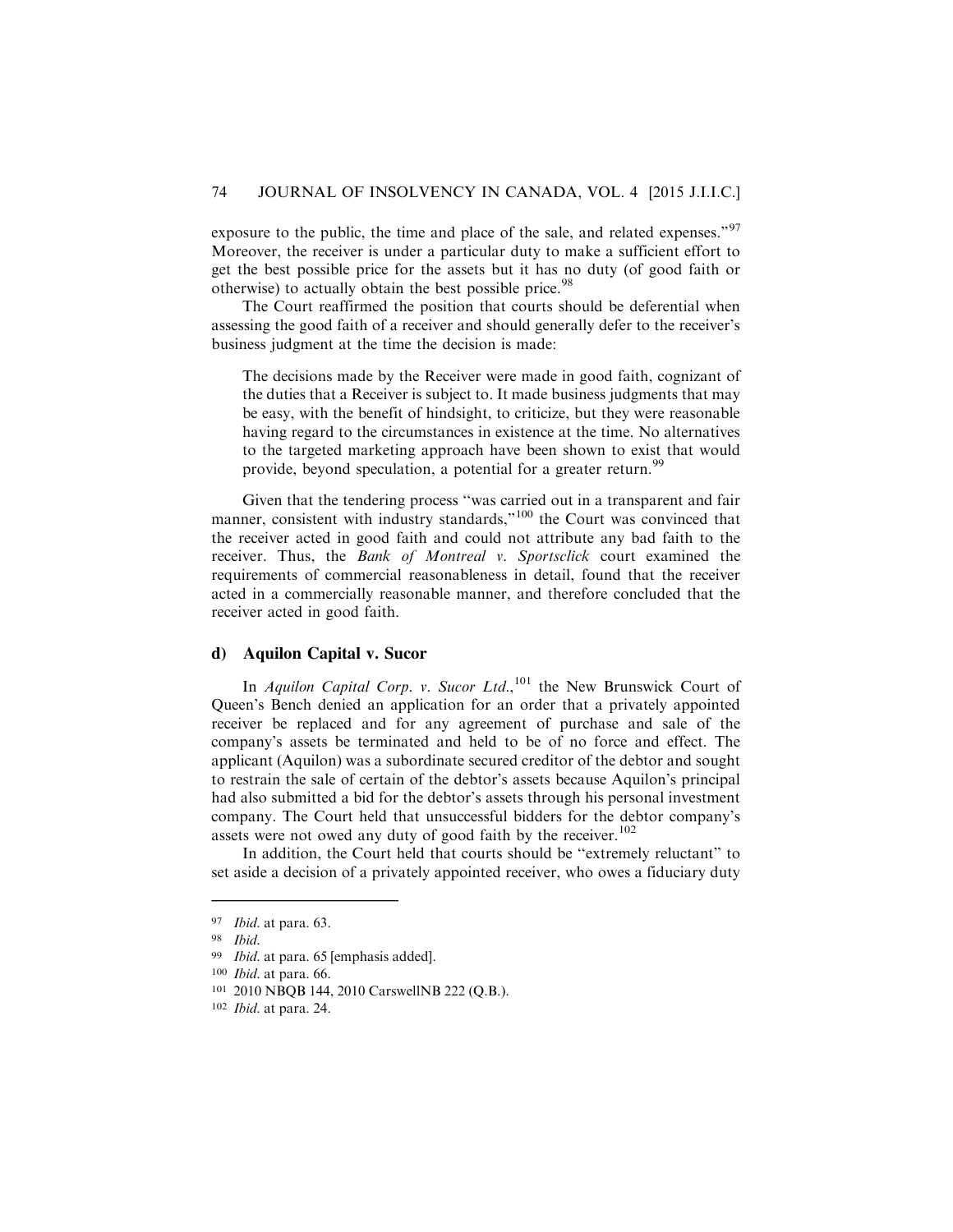exposure to the public, the time and place of the sale, and related expenses."<sup>97</sup> Moreover, the receiver is under a particular duty to make a sufficient effort to get the best possible price for the assets but it has no duty (of good faith or otherwise) to actually obtain the best possible price.<sup>98</sup>

The Court reaffirmed the position that courts should be deferential when assessing the good faith of a receiver and should generally defer to the receiver's business judgment at the time the decision is made:

The decisions made by the Receiver were made in good faith, cognizant of the duties that a Receiver is subject to. It made business judgments that may be easy, with the benefit of hindsight, to criticize, but they were reasonable having regard to the circumstances in existence at the time. No alternatives to the targeted marketing approach have been shown to exist that would provide, beyond speculation, a potential for a greater return.<sup>99</sup>

Given that the tendering process ''was carried out in a transparent and fair manner, consistent with industry standards,"<sup>100</sup> the Court was convinced that the receiver acted in good faith and could not attribute any bad faith to the receiver. Thus, the Bank of Montreal v. Sportsclick court examined the requirements of commercial reasonableness in detail, found that the receiver acted in a commercially reasonable manner, and therefore concluded that the receiver acted in good faith.

# **d) Aquilon Capital v. Sucor**

In Aquilon Capital Corp. v. Sucor Ltd.,  $^{101}$  the New Brunswick Court of Queen's Bench denied an application for an order that a privately appointed receiver be replaced and for any agreement of purchase and sale of the company's assets be terminated and held to be of no force and effect. The applicant (Aquilon) was a subordinate secured creditor of the debtor and sought to restrain the sale of certain of the debtor's assets because Aquilon's principal had also submitted a bid for the debtor's assets through his personal investment company. The Court held that unsuccessful bidders for the debtor company's assets were not owed any duty of good faith by the receiver. $102$ 

In addition, the Court held that courts should be ''extremely reluctant" to set aside a decision of a privately appointed receiver, who owes a fiduciary duty

<sup>97</sup> Ibid. at para. 63.

<sup>98</sup> Ibid.

<sup>99</sup> Ibid. at para. 65 [emphasis added].

<sup>100</sup> Ibid. at para. 66.

<sup>101</sup> 2010 NBQB 144, 2010 CarswellNB 222 (Q.B.).

<sup>102</sup> Ibid. at para. 24.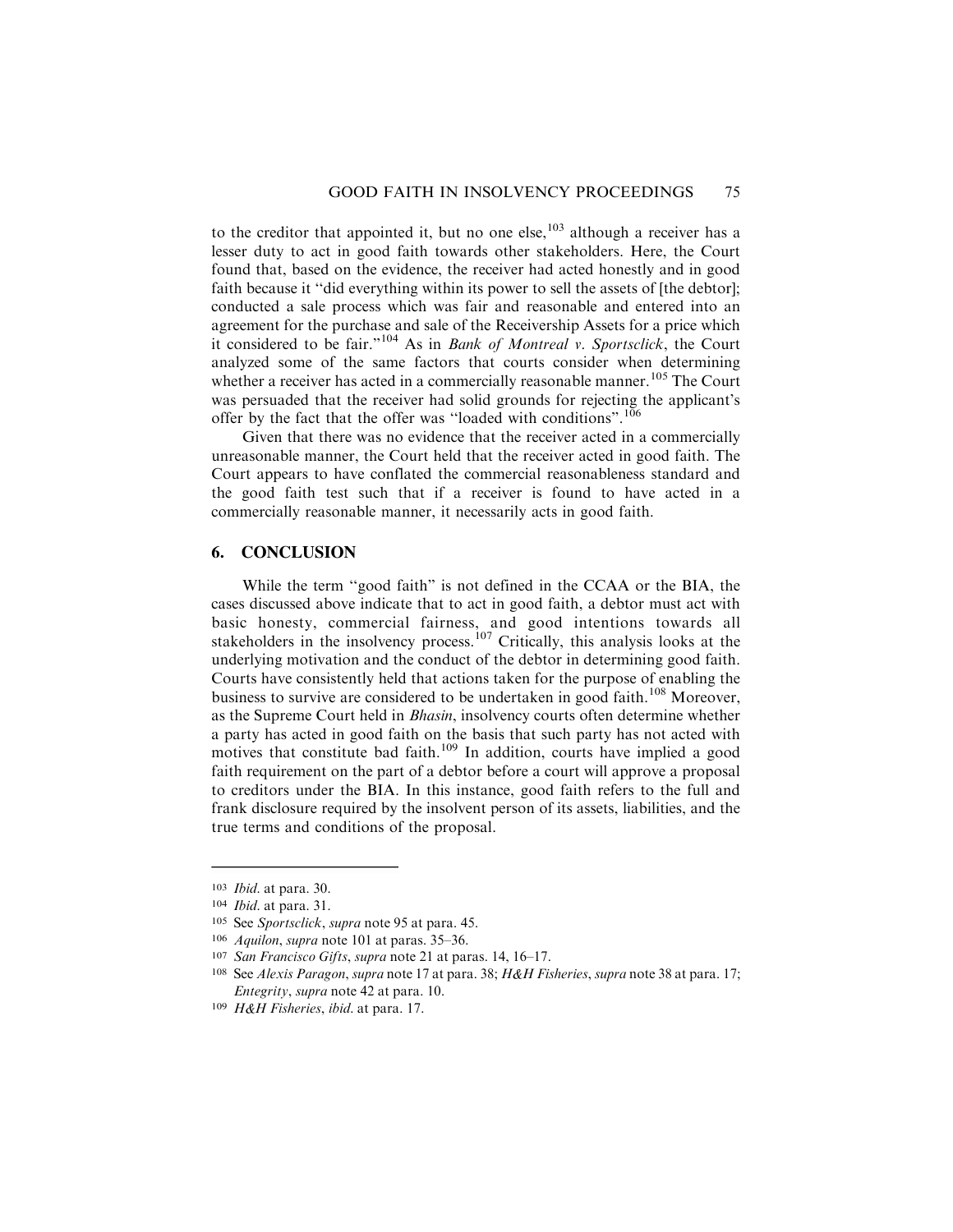to the creditor that appointed it, but no one else,  $^{103}$  although a receiver has a lesser duty to act in good faith towards other stakeholders. Here, the Court found that, based on the evidence, the receiver had acted honestly and in good faith because it "did everything within its power to sell the assets of [the debtor]; conducted a sale process which was fair and reasonable and entered into an agreement for the purchase and sale of the Receivership Assets for a price which it considered to be fair."<sup>104</sup> As in Bank of Montreal v. Sportsclick, the Court analyzed some of the same factors that courts consider when determining whether a receiver has acted in a commercially reasonable manner.<sup>105</sup> The Court was persuaded that the receiver had solid grounds for rejecting the applicant's offer by the fact that the offer was "loaded with conditions".<sup>106</sup>

Given that there was no evidence that the receiver acted in a commercially unreasonable manner, the Court held that the receiver acted in good faith. The Court appears to have conflated the commercial reasonableness standard and the good faith test such that if a receiver is found to have acted in a commercially reasonable manner, it necessarily acts in good faith.

#### **6. CONCLUSION**

While the term ''good faith" is not defined in the CCAA or the BIA, the cases discussed above indicate that to act in good faith, a debtor must act with basic honesty, commercial fairness, and good intentions towards all stakeholders in the insolvency process.<sup>107</sup> Critically, this analysis looks at the underlying motivation and the conduct of the debtor in determining good faith. Courts have consistently held that actions taken for the purpose of enabling the business to survive are considered to be undertaken in good faith.<sup>108</sup> Moreover, as the Supreme Court held in Bhasin, insolvency courts often determine whether a party has acted in good faith on the basis that such party has not acted with motives that constitute bad faith.<sup>109</sup> In addition, courts have implied a good faith requirement on the part of a debtor before a court will approve a proposal to creditors under the BIA. In this instance, good faith refers to the full and frank disclosure required by the insolvent person of its assets, liabilities, and the true terms and conditions of the proposal.

<sup>103</sup> Ibid. at para. 30.

<sup>104</sup> Ibid. at para. 31.

<sup>105</sup> See Sportsclick, supra note 95 at para. 45.

<sup>106</sup> Aquilon, supra note 101 at paras. 35–36.

<sup>107</sup> San Francisco Gifts, supra note 21 at paras. 14, 16–17.

<sup>&</sup>lt;sup>108</sup> See Alexis Paragon, supra note 17 at para. 38; H&H Fisheries, supra note 38 at para. 17; Entegrity, supra note 42 at para. 10.

<sup>109</sup> H&H Fisheries, ibid. at para. 17.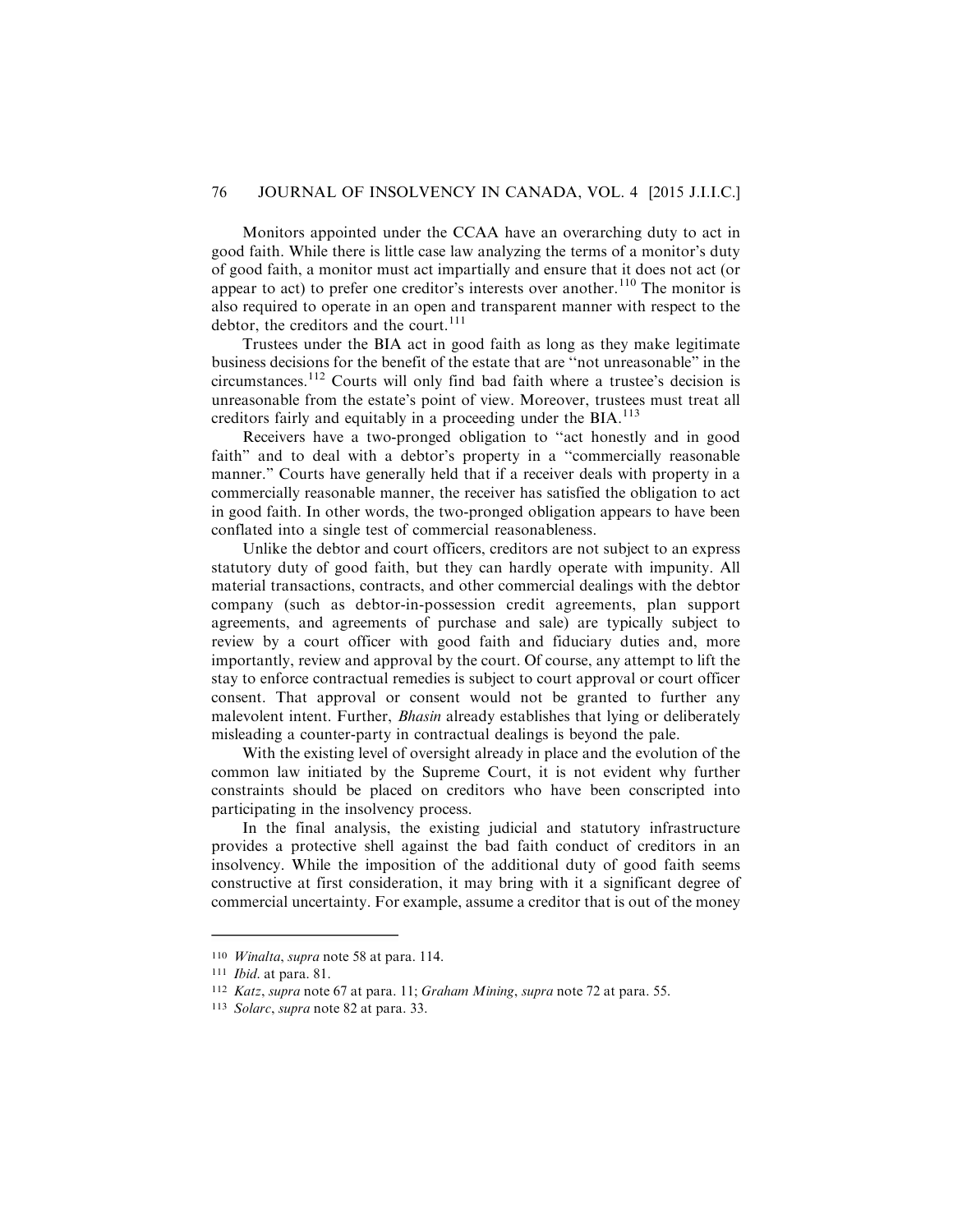Monitors appointed under the CCAA have an overarching duty to act in good faith. While there is little case law analyzing the terms of a monitor's duty of good faith, a monitor must act impartially and ensure that it does not act (or appear to act) to prefer one creditor's interests over another.<sup>110</sup> The monitor is also required to operate in an open and transparent manner with respect to the debtor, the creditors and the court.<sup>111</sup>

Trustees under the BIA act in good faith as long as they make legitimate business decisions for the benefit of the estate that are ''not unreasonable" in the circumstances.<sup>112</sup> Courts will only find bad faith where a trustee's decision is unreasonable from the estate's point of view. Moreover, trustees must treat all creditors fairly and equitably in a proceeding under the BIA.<sup>113</sup>

Receivers have a two-pronged obligation to ''act honestly and in good faith" and to deal with a debtor's property in a ''commercially reasonable manner." Courts have generally held that if a receiver deals with property in a commercially reasonable manner, the receiver has satisfied the obligation to act in good faith. In other words, the two-pronged obligation appears to have been conflated into a single test of commercial reasonableness.

Unlike the debtor and court officers, creditors are not subject to an express statutory duty of good faith, but they can hardly operate with impunity. All material transactions, contracts, and other commercial dealings with the debtor company (such as debtor-in-possession credit agreements, plan support agreements, and agreements of purchase and sale) are typically subject to review by a court officer with good faith and fiduciary duties and, more importantly, review and approval by the court. Of course, any attempt to lift the stay to enforce contractual remedies is subject to court approval or court officer consent. That approval or consent would not be granted to further any malevolent intent. Further, Bhasin already establishes that lying or deliberately misleading a counter-party in contractual dealings is beyond the pale.

With the existing level of oversight already in place and the evolution of the common law initiated by the Supreme Court, it is not evident why further constraints should be placed on creditors who have been conscripted into participating in the insolvency process.

In the final analysis, the existing judicial and statutory infrastructure provides a protective shell against the bad faith conduct of creditors in an insolvency. While the imposition of the additional duty of good faith seems constructive at first consideration, it may bring with it a significant degree of commercial uncertainty. For example, assume a creditor that is out of the money

<sup>110</sup> Winalta, supra note 58 at para. 114.

<sup>111</sup> Ibid. at para. 81.

<sup>112</sup> Katz, supra note 67 at para. 11; Graham Mining, supra note 72 at para. 55.

<sup>113</sup> Solarc, supra note 82 at para. 33.